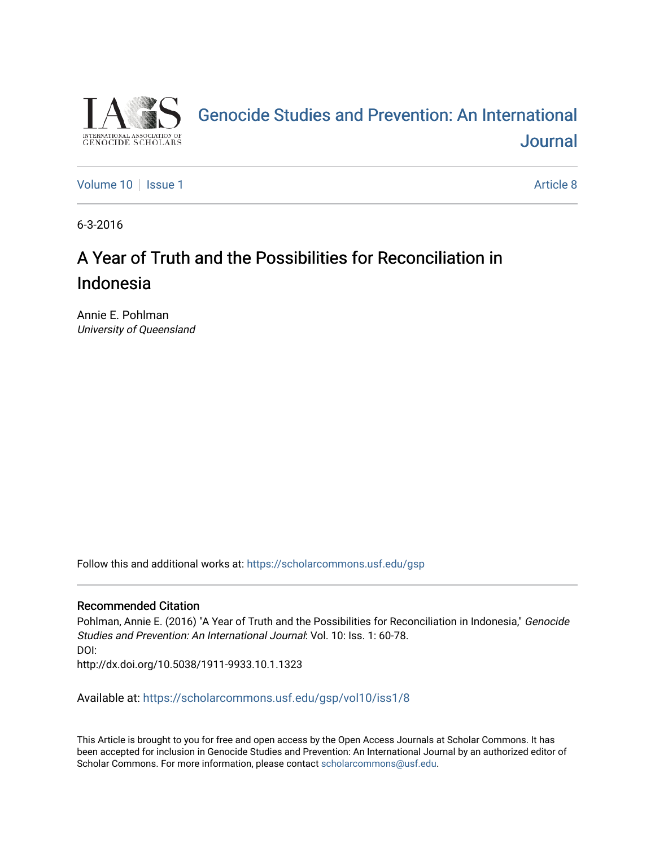

# [Genocide Studies and Prevention: An International](https://scholarcommons.usf.edu/gsp)  **Journal**

[Volume 10](https://scholarcommons.usf.edu/gsp/vol10) | [Issue 1](https://scholarcommons.usf.edu/gsp/vol10/iss1) Article 8

6-3-2016

# A Year of Truth and the Possibilities for Reconciliation in Indonesia

Annie E. Pohlman University of Queensland

Follow this and additional works at: [https://scholarcommons.usf.edu/gsp](https://scholarcommons.usf.edu/gsp?utm_source=scholarcommons.usf.edu%2Fgsp%2Fvol10%2Fiss1%2F8&utm_medium=PDF&utm_campaign=PDFCoverPages)

## Recommended Citation

Pohlman, Annie E. (2016) "A Year of Truth and the Possibilities for Reconciliation in Indonesia," Genocide Studies and Prevention: An International Journal: Vol. 10: Iss. 1: 60-78. DOI: http://dx.doi.org/10.5038/1911-9933.10.1.1323

Available at: [https://scholarcommons.usf.edu/gsp/vol10/iss1/8](https://scholarcommons.usf.edu/gsp/vol10/iss1/8?utm_source=scholarcommons.usf.edu%2Fgsp%2Fvol10%2Fiss1%2F8&utm_medium=PDF&utm_campaign=PDFCoverPages)

This Article is brought to you for free and open access by the Open Access Journals at Scholar Commons. It has been accepted for inclusion in Genocide Studies and Prevention: An International Journal by an authorized editor of Scholar Commons. For more information, please contact [scholarcommons@usf.edu](mailto:scholarcommons@usf.edu).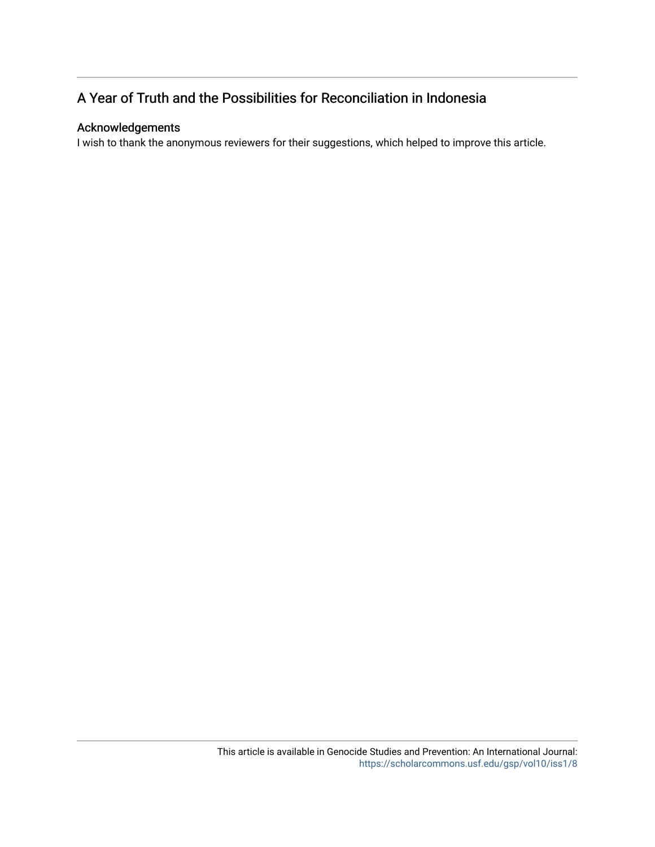## A Year of Truth and the Possibilities for Reconciliation in Indonesia

## Acknowledgements

I wish to thank the anonymous reviewers for their suggestions, which helped to improve this article.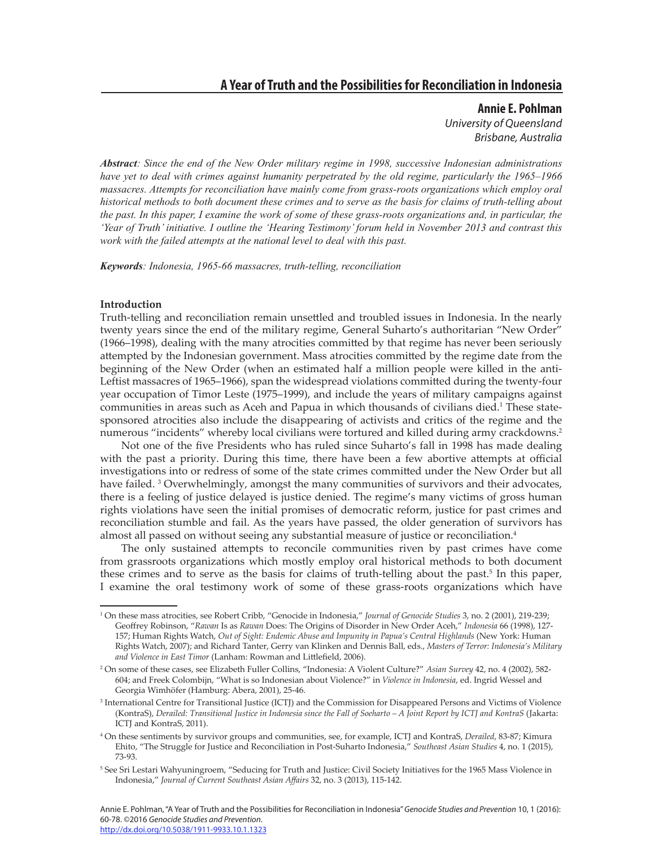## **A Year of Truth and the Possibilities for Reconciliation in Indonesia**

**Annie E. Pohlman** *University of Queensland Brisbane, Australia*

*Abstract: Since the end of the New Order military regime in 1998, successive Indonesian administrations have yet to deal with crimes against humanity perpetrated by the old regime, particularly the 1965–1966 massacres. Attempts for reconciliation have mainly come from grass-roots organizations which employ oral historical methods to both document these crimes and to serve as the basis for claims of truth-telling about the past. In this paper, I examine the work of some of these grass-roots organizations and, in particular, the 'Year of Truth' initiative. I outline the 'Hearing Testimony' forum held in November 2013 and contrast this work with the failed attempts at the national level to deal with this past.*

*Keywords: Indonesia, 1965-66 massacres, truth-telling, reconciliation*

## **Introduction**

Truth-telling and reconciliation remain unsettled and troubled issues in Indonesia. In the nearly twenty years since the end of the military regime, General Suharto's authoritarian "New Order" (1966–1998), dealing with the many atrocities committed by that regime has never been seriously attempted by the Indonesian government. Mass atrocities committed by the regime date from the beginning of the New Order (when an estimated half a million people were killed in the anti-Leftist massacres of 1965–1966), span the widespread violations committed during the twenty-four year occupation of Timor Leste (1975–1999), and include the years of military campaigns against communities in areas such as Aceh and Papua in which thousands of civilians died.<sup>1</sup> These statesponsored atrocities also include the disappearing of activists and critics of the regime and the numerous "incidents" whereby local civilians were tortured and killed during army crackdowns.<sup>2</sup>

Not one of the five Presidents who has ruled since Suharto's fall in 1998 has made dealing with the past a priority. During this time, there have been a few abortive attempts at official investigations into or redress of some of the state crimes committed under the New Order but all have failed.<sup>3</sup> Overwhelmingly, amongst the many communities of survivors and their advocates, there is a feeling of justice delayed is justice denied. The regime's many victims of gross human rights violations have seen the initial promises of democratic reform, justice for past crimes and reconciliation stumble and fail. As the years have passed, the older generation of survivors has almost all passed on without seeing any substantial measure of justice or reconciliation.<sup>4</sup>

The only sustained attempts to reconcile communities riven by past crimes have come from grassroots organizations which mostly employ oral historical methods to both document these crimes and to serve as the basis for claims of truth-telling about the past.<sup>5</sup> In this paper, I examine the oral testimony work of some of these grass-roots organizations which have

Annie E. Pohlman, "A Year of Truth and the Possibilities for Reconciliation in Indonesia" *Genocide Studies and Prevention* 10, 1 (2016): 60-78. ©2016 *Genocide Studies and Prevention*. http://dx.doi.org/10.5038/1911-9933.10.1.1323

<sup>1</sup> On these mass atrocities, see Robert Cribb, "Genocide in Indonesia," *Journal of Genocide Studies* 3, no. 2 (2001), 219-239; Geoffrey Robinson, "*Rawan* Is as *Rawan* Does: The Origins of Disorder in New Order Aceh," *Indonesia* 66 (1998), 127- 157; Human Rights Watch, *Out of Sight: Endemic Abuse and Impunity in Papua's Central Highlands* (New York: Human Rights Watch, 2007); and Richard Tanter, Gerry van Klinken and Dennis Ball, eds., *Masters of Terror: Indonesia's Military and Violence in East Timor* (Lanham: Rowman and Littlefield, 2006).

<sup>2</sup> On some of these cases, see Elizabeth Fuller Collins, "Indonesia: A Violent Culture?" *Asian Survey* 42, no. 4 (2002), 582- 604; and Freek Colombijn, "What is so Indonesian about Violence?" in *Violence in Indonesia*, ed. Ingrid Wessel and Georgia Wimhöfer (Hamburg: Abera, 2001), 25-46.

<sup>3</sup> International Centre for Transitional Justice (ICTJ) and the Commission for Disappeared Persons and Victims of Violence (KontraS), *Derailed: Transitional Justice in Indonesia since the Fall of Soeharto – A Joint Report by ICTJ and KontraS* (Jakarta: ICTJ and KontraS, 2011).

<sup>4</sup> On these sentiments by survivor groups and communities, see, for example, ICTJ and KontraS, *Derailed*, 83-87; Kimura Ehito, "The Struggle for Justice and Reconciliation in Post-Suharto Indonesia," *Southeast Asian Studies* 4, no. 1 (2015), 73-93.

<sup>5</sup> See Sri Lestari Wahyuningroem, "Seducing for Truth and Justice: Civil Society Initiatives for the 1965 Mass Violence in Indonesia," *Journal of Current Southeast Asian Affairs* 32, no. 3 (2013), 115-142.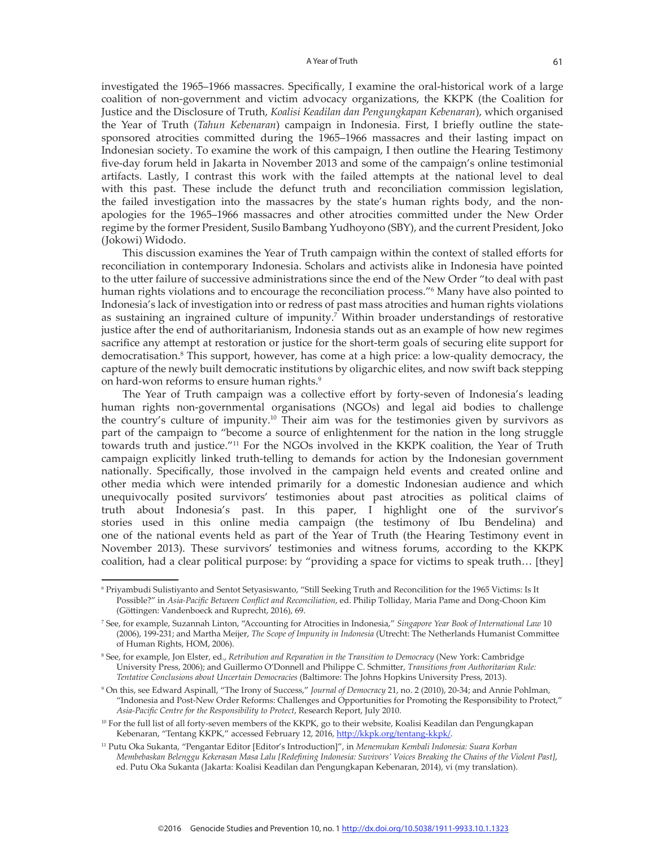investigated the 1965–1966 massacres. Specifically, I examine the oral-historical work of a large coalition of non-government and victim advocacy organizations, the KKPK (the Coalition for Justice and the Disclosure of Truth, *Koalisi Keadilan dan Pengungkapan Kebenaran*), which organised the Year of Truth (*Tahun Kebenaran*) campaign in Indonesia. First, I briefly outline the statesponsored atrocities committed during the 1965–1966 massacres and their lasting impact on Indonesian society. To examine the work of this campaign, I then outline the Hearing Testimony five-day forum held in Jakarta in November 2013 and some of the campaign's online testimonial artifacts. Lastly, I contrast this work with the failed attempts at the national level to deal with this past. These include the defunct truth and reconciliation commission legislation, the failed investigation into the massacres by the state's human rights body, and the nonapologies for the 1965–1966 massacres and other atrocities committed under the New Order regime by the former President, Susilo Bambang Yudhoyono (SBY), and the current President, Joko (Jokowi) Widodo.

This discussion examines the Year of Truth campaign within the context of stalled efforts for reconciliation in contemporary Indonesia. Scholars and activists alike in Indonesia have pointed to the utter failure of successive administrations since the end of the New Order "to deal with past human rights violations and to encourage the reconciliation process."<sup>6</sup> Many have also pointed to Indonesia's lack of investigation into or redress of past mass atrocities and human rights violations as sustaining an ingrained culture of impunity.<sup>7</sup> Within broader understandings of restorative justice after the end of authoritarianism, Indonesia stands out as an example of how new regimes sacrifice any attempt at restoration or justice for the short-term goals of securing elite support for democratisation.<sup>8</sup> This support, however, has come at a high price: a low-quality democracy, the capture of the newly built democratic institutions by oligarchic elites, and now swift back stepping on hard-won reforms to ensure human rights.<sup>9</sup>

The Year of Truth campaign was a collective effort by forty-seven of Indonesia's leading human rights non-governmental organisations (NGOs) and legal aid bodies to challenge the country's culture of impunity.10 Their aim was for the testimonies given by survivors as part of the campaign to "become a source of enlightenment for the nation in the long struggle towards truth and justice."<sup>11</sup> For the NGOs involved in the KKPK coalition, the Year of Truth campaign explicitly linked truth-telling to demands for action by the Indonesian government nationally. Specifically, those involved in the campaign held events and created online and other media which were intended primarily for a domestic Indonesian audience and which unequivocally posited survivors' testimonies about past atrocities as political claims of truth about Indonesia's past. In this paper, I highlight one of the survivor's stories used in this online media campaign (the testimony of Ibu Bendelina) and one of the national events held as part of the Year of Truth (the Hearing Testimony event in November 2013). These survivors' testimonies and witness forums, according to the KKPK coalition, had a clear political purpose: by "providing a space for victims to speak truth… [they]

<sup>6</sup> Priyambudi Sulistiyanto and Sentot Setyasiswanto, "Still Seeking Truth and Reconcilition for the 1965 Victims: Is It Possible?" in *Asia-Pacific Between Conflict and Reconciliation*, ed. Philip Tolliday, Maria Pame and Dong-Choon Kim (Göttingen: Vandenboeck and Ruprecht, 2016), 69.

<sup>7</sup> See, for example, Suzannah Linton, "Accounting for Atrocities in Indonesia," *Singapore Year Book of International Law* 10 (2006), 199-231; and Martha Meijer, *The Scope of Impunity in Indonesia* (Utrecht: The Netherlands Humanist Committee of Human Rights, HOM, 2006).

<sup>8</sup> See, for example, Jon Elster, ed., *Retribution and Reparation in the Transition to Democracy* (New York: Cambridge University Press, 2006); and Guillermo O'Donnell and Philippe C. Schmitter, *Transitions from Authoritarian Rule: Tentative Conclusions about Uncertain Democracies* (Baltimore: The Johns Hopkins University Press, 2013).

<sup>9</sup> On this, see Edward Aspinall, "The Irony of Success," *Journal of Democracy* 21, no. 2 (2010), 20-34; and Annie Pohlman, "Indonesia and Post-New Order Reforms: Challenges and Opportunities for Promoting the Responsibility to Protect," *Asia-Pacific Centre for the Responsibility to Protect*, Research Report, July 2010.

<sup>10</sup> For the full list of all forty-seven members of the KKPK, go to their website, Koalisi Keadilan dan Pengungkapan Kebenaran, "Tentang KKPK," accessed February 12, 2016, http://kkpk.org/tentang-kkpk/.

<sup>11</sup> Putu Oka Sukanta, "Pengantar Editor [Editor's Introduction]", in *Menemukan Kembali Indonesia: Suara Korban Membebaskan Belenggu Kekerasan Masa Lalu [Redefining Indonesia: Suvivors' Voices Breaking the Chains of the Violent Past]*, ed. Putu Oka Sukanta (Jakarta: Koalisi Keadilan dan Pengungkapan Kebenaran, 2014), vi (my translation).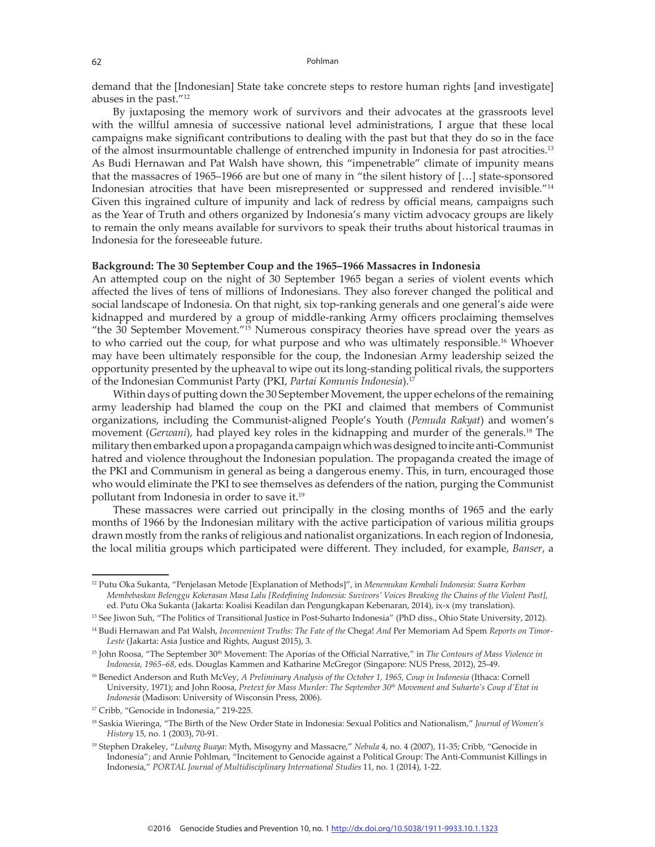demand that the [Indonesian] State take concrete steps to restore human rights [and investigate] abuses in the past."<sup>12</sup>

By juxtaposing the memory work of survivors and their advocates at the grassroots level with the willful amnesia of successive national level administrations, I argue that these local campaigns make significant contributions to dealing with the past but that they do so in the face of the almost insurmountable challenge of entrenched impunity in Indonesia for past atrocities.<sup>13</sup> As Budi Hernawan and Pat Walsh have shown, this "impenetrable" climate of impunity means that the massacres of 1965–1966 are but one of many in "the silent history of […] state-sponsored Indonesian atrocities that have been misrepresented or suppressed and rendered invisible."<sup>14</sup> Given this ingrained culture of impunity and lack of redress by official means, campaigns such as the Year of Truth and others organized by Indonesia's many victim advocacy groups are likely to remain the only means available for survivors to speak their truths about historical traumas in Indonesia for the foreseeable future.

#### **Background: The 30 September Coup and the 1965–1966 Massacres in Indonesia**

An attempted coup on the night of 30 September 1965 began a series of violent events which affected the lives of tens of millions of Indonesians. They also forever changed the political and social landscape of Indonesia. On that night, six top-ranking generals and one general's aide were kidnapped and murdered by a group of middle-ranking Army officers proclaiming themselves "the 30 September Movement."15 Numerous conspiracy theories have spread over the years as to who carried out the coup, for what purpose and who was ultimately responsible.<sup>16</sup> Whoever may have been ultimately responsible for the coup, the Indonesian Army leadership seized the opportunity presented by the upheaval to wipe out its long-standing political rivals, the supporters of the Indonesian Communist Party (PKI, *Partai Komunis Indonesia*).17

Within days of putting down the 30 September Movement, the upper echelons of the remaining army leadership had blamed the coup on the PKI and claimed that members of Communist organizations, including the Communist-aligned People's Youth (*Pemuda Rakyat*) and women's movement *(Gerwani)*, had played key roles in the kidnapping and murder of the generals.<sup>18</sup> The military then embarked upon a propaganda campaign which was designed to incite anti-Communist hatred and violence throughout the Indonesian population. The propaganda created the image of the PKI and Communism in general as being a dangerous enemy. This, in turn, encouraged those who would eliminate the PKI to see themselves as defenders of the nation, purging the Communist pollutant from Indonesia in order to save it.<sup>19</sup>

These massacres were carried out principally in the closing months of 1965 and the early months of 1966 by the Indonesian military with the active participation of various militia groups drawn mostly from the ranks of religious and nationalist organizations. In each region of Indonesia, the local militia groups which participated were different. They included, for example, *Banser*, a

<sup>12</sup> Putu Oka Sukanta, "Penjelasan Metode [Explanation of Methods]", in *Menemukan Kembali Indonesia: Suara Korban Membebaskan Belenggu Kekerasan Masa Lalu [Redefining Indonesia: Suvivors' Voices Breaking the Chains of the Violent Past]*, ed. Putu Oka Sukanta (Jakarta: Koalisi Keadilan dan Pengungkapan Kebenaran, 2014), ix-x (my translation).

<sup>&</sup>lt;sup>13</sup> See Jiwon Suh, "The Politics of Transitional Justice in Post-Suharto Indonesia" (PhD diss., Ohio State University, 2012).

<sup>14</sup> Budi Hernawan and Pat Walsh, *Inconvenient Truths: The Fate of the* Chega! *And* Per Memoriam Ad Spem *Reports on Timor-Leste* (Jakarta: Asia Justice and Rights, August 2015), 3.

<sup>15</sup> John Roosa, "The September 30th Movement: The Aporias of the Official Narrative," in *The Contours of Mass Violence in Indonesia, 1965–68*, eds. Douglas Kammen and Katharine McGregor (Singapore: NUS Press, 2012), 25-49.

<sup>16</sup> Benedict Anderson and Ruth McVey, *A Preliminary Analysis of the October 1, 1965, Coup in Indonesia* (Ithaca: Cornell University, 1971); and John Roosa, *Pretext for Mass Murder: The September 30th Movement and Suharto's Coup d'Etat in Indonesia* (Madison: University of Wisconsin Press, 2006).

<sup>17</sup> Cribb, "Genocide in Indonesia," 219-225.

<sup>18</sup> Saskia Wieringa, "The Birth of the New Order State in Indonesia: Sexual Politics and Nationalism," *Journal of Women's History* 15, no. 1 (2003), 70-91.

<sup>19</sup> Stephen Drakeley, "*Lubang Buaya*: Myth, Misogyny and Massacre," *Nebula* 4, no. 4 (2007), 11-35; Cribb, "Genocide in Indonesia"; and Annie Pohlman, "Incitement to Genocide against a Political Group: The Anti-Communist Killings in Indonesia," *PORTAL Journal of Multidisciplinary International Studies* 11, no. 1 (2014), 1-22.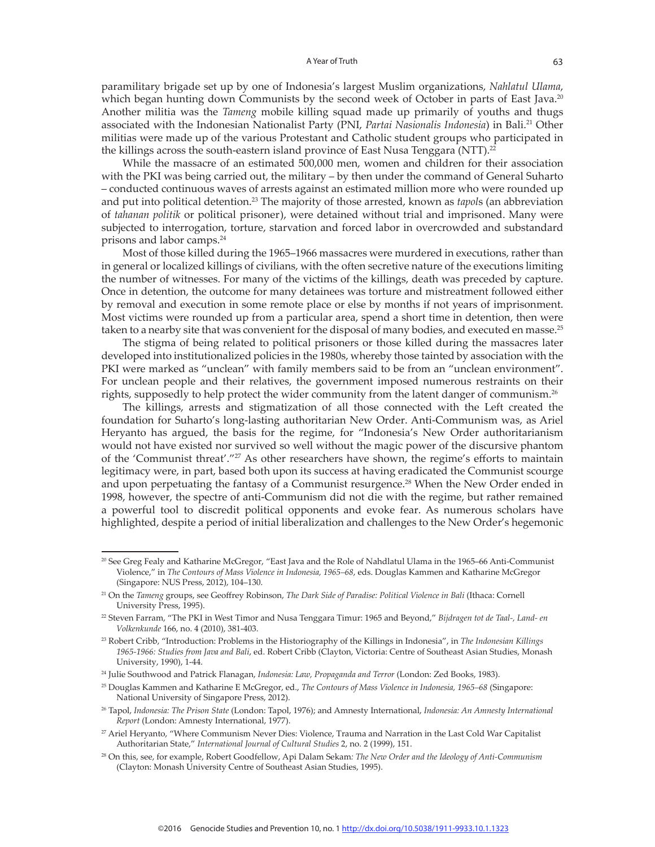paramilitary brigade set up by one of Indonesia's largest Muslim organizations, *Nahlatul Ulama*, which began hunting down Communists by the second week of October in parts of East Java.<sup>20</sup> Another militia was the *Tameng* mobile killing squad made up primarily of youths and thugs associated with the Indonesian Nationalist Party (PNI, *Partai Nasionalis Indonesia*) in Bali.<sup>21</sup> Other militias were made up of the various Protestant and Catholic student groups who participated in the killings across the south-eastern island province of East Nusa Tenggara (NTT).<sup>22</sup>

While the massacre of an estimated 500,000 men, women and children for their association with the PKI was being carried out, the military – by then under the command of General Suharto – conducted continuous waves of arrests against an estimated million more who were rounded up and put into political detention.<sup>23</sup> The majority of those arrested, known as *tapol*s (an abbreviation of *tahanan politik* or political prisoner), were detained without trial and imprisoned. Many were subjected to interrogation, torture, starvation and forced labor in overcrowded and substandard prisons and labor camps.<sup>24</sup>

Most of those killed during the 1965–1966 massacres were murdered in executions, rather than in general or localized killings of civilians, with the often secretive nature of the executions limiting the number of witnesses. For many of the victims of the killings, death was preceded by capture. Once in detention, the outcome for many detainees was torture and mistreatment followed either by removal and execution in some remote place or else by months if not years of imprisonment. Most victims were rounded up from a particular area, spend a short time in detention, then were taken to a nearby site that was convenient for the disposal of many bodies, and executed en masse.<sup>25</sup>

The stigma of being related to political prisoners or those killed during the massacres later developed into institutionalized policies in the 1980s, whereby those tainted by association with the PKI were marked as "unclean" with family members said to be from an "unclean environment". For unclean people and their relatives, the government imposed numerous restraints on their rights, supposedly to help protect the wider community from the latent danger of communism.<sup>26</sup>

The killings, arrests and stigmatization of all those connected with the Left created the foundation for Suharto's long-lasting authoritarian New Order. Anti-Communism was, as Ariel Heryanto has argued, the basis for the regime, for "Indonesia's New Order authoritarianism would not have existed nor survived so well without the magic power of the discursive phantom of the 'Communist threat'."27 As other researchers have shown, the regime's efforts to maintain legitimacy were, in part, based both upon its success at having eradicated the Communist scourge and upon perpetuating the fantasy of a Communist resurgence.<sup>28</sup> When the New Order ended in 1998, however, the spectre of anti-Communism did not die with the regime, but rather remained a powerful tool to discredit political opponents and evoke fear. As numerous scholars have highlighted, despite a period of initial liberalization and challenges to the New Order's hegemonic

<sup>20</sup> See Greg Fealy and Katharine McGregor, "East Java and the Role of Nahdlatul Ulama in the 1965–66 Anti-Communist Violence," in *The Contours of Mass Violence in Indonesia, 1965–68*, eds. Douglas Kammen and Katharine McGregor (Singapore: NUS Press, 2012), 104–130.

<sup>21</sup> On the *Tameng* groups, see Geoffrey Robinson, *The Dark Side of Paradise: Political Violence in Bali* (Ithaca: Cornell University Press, 1995).

<sup>22</sup> Steven Farram, "The PKI in West Timor and Nusa Tenggara Timur: 1965 and Beyond," *Bijdragen tot de Taal-, Land- en Volkenkunde* 166, no. 4 (2010), 381-403.

<sup>23</sup> Robert Cribb, "Introduction: Problems in the Historiography of the Killings in Indonesia", in *The Indonesian Killings 1965-1966: Studies from Java and Bali*, ed. Robert Cribb (Clayton, Victoria: Centre of Southeast Asian Studies, Monash University, 1990), 1-44.

<sup>24</sup> Julie Southwood and Patrick Flanagan, *Indonesia: Law, Propaganda and Terror* (London: Zed Books, 1983).

<sup>25</sup> Douglas Kammen and Katharine E McGregor, ed., *The Contours of Mass Violence in Indonesia, 1965–68* (Singapore: National University of Singapore Press, 2012).

<sup>26</sup> Tapol, *Indonesia: The Prison State* (London: Tapol, 1976); and Amnesty International, *Indonesia: An Amnesty International Report* (London: Amnesty International, 1977).

<sup>27</sup> Ariel Heryanto, "Where Communism Never Dies: Violence, Trauma and Narration in the Last Cold War Capitalist Authoritarian State," *International Journal of Cultural Studies* 2, no. 2 (1999), 151.

<sup>28</sup> On this, see, for example, Robert Goodfellow, Api Dalam Sekam*: The New Order and the Ideology of Anti-Communism* (Clayton: Monash University Centre of Southeast Asian Studies, 1995).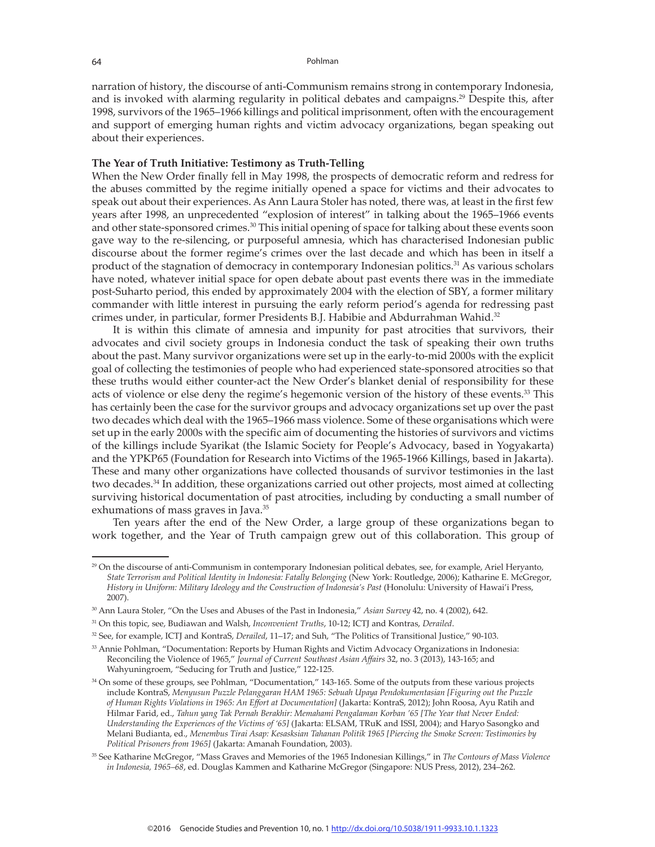narration of history, the discourse of anti-Communism remains strong in contemporary Indonesia, and is invoked with alarming regularity in political debates and campaigns.<sup>29</sup> Despite this, after 1998, survivors of the 1965–1966 killings and political imprisonment, often with the encouragement and support of emerging human rights and victim advocacy organizations, began speaking out about their experiences.

### **The Year of Truth Initiative: Testimony as Truth-Telling**

When the New Order finally fell in May 1998, the prospects of democratic reform and redress for the abuses committed by the regime initially opened a space for victims and their advocates to speak out about their experiences. As Ann Laura Stoler has noted, there was, at least in the first few years after 1998, an unprecedented "explosion of interest" in talking about the 1965–1966 events and other state-sponsored crimes.<sup>30</sup> This initial opening of space for talking about these events soon gave way to the re-silencing, or purposeful amnesia, which has characterised Indonesian public discourse about the former regime's crimes over the last decade and which has been in itself a product of the stagnation of democracy in contemporary Indonesian politics.<sup>31</sup> As various scholars have noted, whatever initial space for open debate about past events there was in the immediate post-Suharto period, this ended by approximately 2004 with the election of SBY, a former military commander with little interest in pursuing the early reform period's agenda for redressing past crimes under, in particular, former Presidents B.J. Habibie and Abdurrahman Wahid.<sup>32</sup>

It is within this climate of amnesia and impunity for past atrocities that survivors, their advocates and civil society groups in Indonesia conduct the task of speaking their own truths about the past. Many survivor organizations were set up in the early-to-mid 2000s with the explicit goal of collecting the testimonies of people who had experienced state-sponsored atrocities so that these truths would either counter-act the New Order's blanket denial of responsibility for these acts of violence or else deny the regime's hegemonic version of the history of these events.<sup>33</sup> This has certainly been the case for the survivor groups and advocacy organizations set up over the past two decades which deal with the 1965–1966 mass violence. Some of these organisations which were set up in the early 2000s with the specific aim of documenting the histories of survivors and victims of the killings include Syarikat (the Islamic Society for People's Advocacy, based in Yogyakarta) and the YPKP65 (Foundation for Research into Victims of the 1965-1966 Killings, based in Jakarta). These and many other organizations have collected thousands of survivor testimonies in the last two decades.<sup>34</sup> In addition, these organizations carried out other projects, most aimed at collecting surviving historical documentation of past atrocities, including by conducting a small number of exhumations of mass graves in Java.<sup>35</sup>

Ten years after the end of the New Order, a large group of these organizations began to work together, and the Year of Truth campaign grew out of this collaboration. This group of

<sup>&</sup>lt;sup>29</sup> On the discourse of anti-Communism in contemporary Indonesian political debates, see, for example, Ariel Heryanto, *State Terrorism and Political Identity in Indonesia: Fatally Belonging* (New York: Routledge, 2006); Katharine E. McGregor, *History in Uniform: Military Ideology and the Construction of Indonesia's Past* (Honolulu: University of Hawai'i Press, 2007).

<sup>30</sup> Ann Laura Stoler, "On the Uses and Abuses of the Past in Indonesia," *Asian Survey* 42, no. 4 (2002), 642.

<sup>31</sup> On this topic, see, Budiawan and Walsh, *Inconvenient Truths*, 10-12; ICTJ and Kontras, *Derailed*.

<sup>32</sup> See, for example, ICTJ and KontraS, *Derailed*, 11–17; and Suh, "The Politics of Transitional Justice," 90-103.

<sup>33</sup> Annie Pohlman, "Documentation: Reports by Human Rights and Victim Advocacy Organizations in Indonesia: Reconciling the Violence of 1965," *Journal of Current Southeast Asian Affairs* 32, no. 3 (2013), 143-165; and Wahyuningroem, "Seducing for Truth and Justice," 122-125.

<sup>&</sup>lt;sup>34</sup> On some of these groups, see Pohlman, "Documentation," 143-165. Some of the outputs from these various projects include KontraS, *Menyusun Puzzle Pelanggaran HAM 1965: Sebuah Upaya Pendokumentasian [Figuring out the Puzzle of Human Rights Violations in 1965: An Effort at Documentation]* (Jakarta: KontraS, 2012); John Roosa, Ayu Ratih and Hilmar Farid, ed., *Tahun yang Tak Pernah Berakhir: Memahami Pengalaman Korban '65 [The Year that Never Ended: Understanding the Experiences of the Victims of '65]* (Jakarta: ELSAM, TRuK and ISSI, 2004); and Haryo Sasongko and Melani Budianta, ed., *Menembus Tirai Asap: Kesasksian Tahanan Politik 1965 [Piercing the Smoke Screen: Testimonies by Political Prisoners from 1965]* (Jakarta: Amanah Foundation, 2003).

<sup>35</sup> See Katharine McGregor, "Mass Graves and Memories of the 1965 Indonesian Killings," in *The Contours of Mass Violence in Indonesia, 1965–68*, ed. Douglas Kammen and Katharine McGregor (Singapore: NUS Press, 2012), 234–262.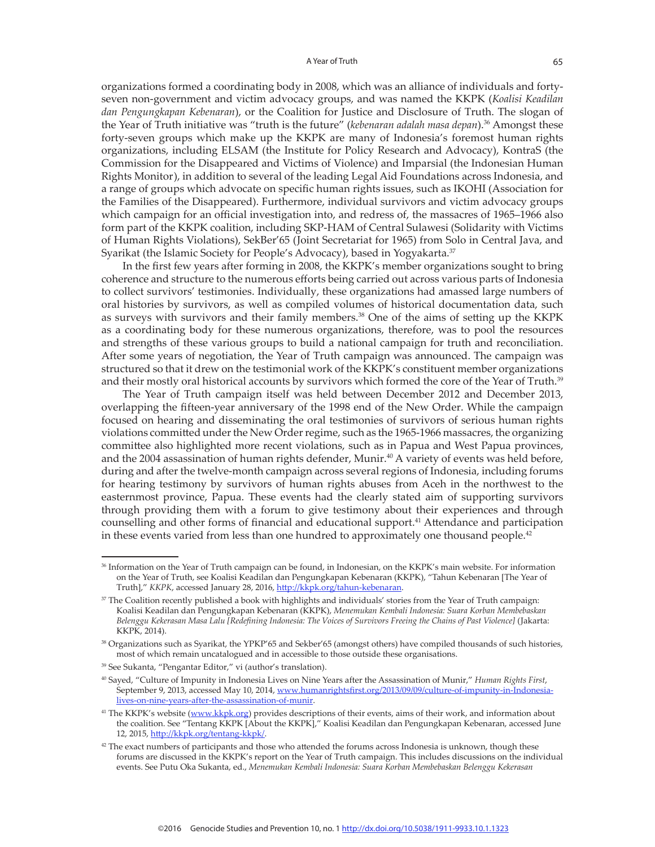organizations formed a coordinating body in 2008, which was an alliance of individuals and fortyseven non-government and victim advocacy groups, and was named the KKPK (*Koalisi Keadilan dan Pengungkapan Kebenaran*), or the Coalition for Justice and Disclosure of Truth. The slogan of the Year of Truth initiative was "truth is the future" (*kebenaran adalah masa depan*).36 Amongst these forty-seven groups which make up the KKPK are many of Indonesia's foremost human rights organizations, including ELSAM (the Institute for Policy Research and Advocacy), KontraS (the Commission for the Disappeared and Victims of Violence) and Imparsial (the Indonesian Human Rights Monitor), in addition to several of the leading Legal Aid Foundations across Indonesia, and a range of groups which advocate on specific human rights issues, such as IKOHI (Association for the Families of the Disappeared). Furthermore, individual survivors and victim advocacy groups which campaign for an official investigation into, and redress of, the massacres of 1965–1966 also form part of the KKPK coalition, including SKP-HAM of Central Sulawesi (Solidarity with Victims of Human Rights Violations), SekBer'65 (Joint Secretariat for 1965) from Solo in Central Java, and Syarikat (the Islamic Society for People's Advocacy), based in Yogyakarta.37

In the first few years after forming in 2008, the KKPK's member organizations sought to bring coherence and structure to the numerous efforts being carried out across various parts of Indonesia to collect survivors' testimonies. Individually, these organizations had amassed large numbers of oral histories by survivors, as well as compiled volumes of historical documentation data, such as surveys with survivors and their family members.<sup>38</sup> One of the aims of setting up the KKPK as a coordinating body for these numerous organizations, therefore, was to pool the resources and strengths of these various groups to build a national campaign for truth and reconciliation. After some years of negotiation, the Year of Truth campaign was announced. The campaign was structured so that it drew on the testimonial work of the KKPK's constituent member organizations and their mostly oral historical accounts by survivors which formed the core of the Year of Truth.<sup>39</sup>

The Year of Truth campaign itself was held between December 2012 and December 2013, overlapping the fifteen-year anniversary of the 1998 end of the New Order. While the campaign focused on hearing and disseminating the oral testimonies of survivors of serious human rights violations committed under the New Order regime, such as the 1965-1966 massacres, the organizing committee also highlighted more recent violations, such as in Papua and West Papua provinces, and the 2004 assassination of human rights defender, Munir.<sup>40</sup> A variety of events was held before, during and after the twelve-month campaign across several regions of Indonesia, including forums for hearing testimony by survivors of human rights abuses from Aceh in the northwest to the easternmost province, Papua. These events had the clearly stated aim of supporting survivors through providing them with a forum to give testimony about their experiences and through counselling and other forms of financial and educational support.<sup>41</sup> Attendance and participation in these events varied from less than one hundred to approximately one thousand people.<sup>42</sup>

<sup>36</sup> Information on the Year of Truth campaign can be found, in Indonesian, on the KKPK's main website. For information on the Year of Truth, see Koalisi Keadilan dan Pengungkapan Kebenaran (KKPK), "Tahun Kebenaran [The Year of Truth]," *KKPK*, accessed January 28, 2016, http://kkpk.org/tahun-kebenaran.

<sup>&</sup>lt;sup>37</sup> The Coalition recently published a book with highlights and individuals' stories from the Year of Truth campaign: Koalisi Keadilan dan Pengungkapan Kebenaran (KKPK), *Menemukan Kembali Indonesia: Suara Korban Membebaskan Belenggu Kekerasan Masa Lalu [Redefining Indonesia: The Voices of Survivors Freeing the Chains of Past Violence]* (Jakarta: KKPK, 2014).

<sup>38</sup> Organizations such as Syarikat, the YPKP'65 and Sekber'65 (amongst others) have compiled thousands of such histories, most of which remain uncatalogued and in accessible to those outside these organisations.

<sup>39</sup> See Sukanta, "Pengantar Editor," vi (author's translation).

<sup>40</sup> Sayed, "Culture of Impunity in Indonesia Lives on Nine Years after the Assassination of Munir," *Human Rights First*, September 9, 2013, accessed May 10, 2014, www.humanrightsfirst.org/2013/09/09/culture-of-impunity-in-Indonesialives-on-nine-years-after-the-assassination-of-munir.

<sup>&</sup>lt;sup>41</sup> The KKPK's website (www.kkpk.org) provides descriptions of their events, aims of their work, and information about the coalition. See "Tentang KKPK [About the KKPK]," Koalisi Keadilan dan Pengungkapan Kebenaran, accessed June 12, 2015, http://kkpk.org/tentang-kkpk/.

<sup>&</sup>lt;sup>42</sup> The exact numbers of participants and those who attended the forums across Indonesia is unknown, though these forums are discussed in the KKPK's report on the Year of Truth campaign. This includes discussions on the individual events. See Putu Oka Sukanta, ed., *Menemukan Kembali Indonesia: Suara Korban Membebaskan Belenggu Kekerasan*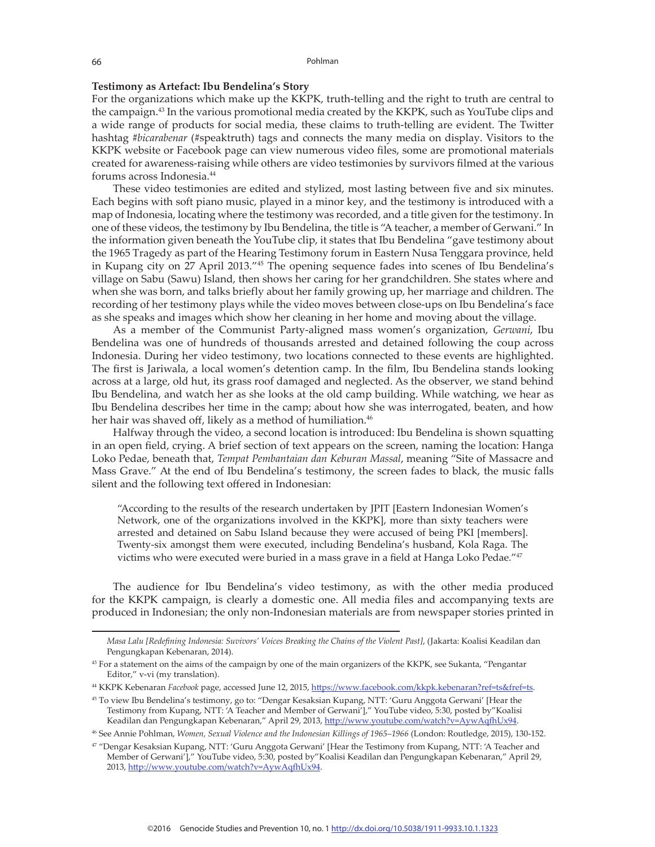#### **Testimony as Artefact: Ibu Bendelina's Story**

For the organizations which make up the KKPK, truth-telling and the right to truth are central to the campaign.<sup>43</sup> In the various promotional media created by the KKPK, such as YouTube clips and a wide range of products for social media, these claims to truth-telling are evident. The Twitter hashtag *#bicarabenar* (#speaktruth) tags and connects the many media on display. Visitors to the KKPK website or Facebook page can view numerous video files, some are promotional materials created for awareness-raising while others are video testimonies by survivors filmed at the various forums across Indonesia.<sup>44</sup>

These video testimonies are edited and stylized, most lasting between five and six minutes. Each begins with soft piano music, played in a minor key, and the testimony is introduced with a map of Indonesia, locating where the testimony was recorded, and a title given for the testimony. In one of these videos, the testimony by Ibu Bendelina, the title is "A teacher, a member of Gerwani." In the information given beneath the YouTube clip, it states that Ibu Bendelina "gave testimony about the 1965 Tragedy as part of the Hearing Testimony forum in Eastern Nusa Tenggara province, held in Kupang city on 27 April 2013."45 The opening sequence fades into scenes of Ibu Bendelina's village on Sabu (Sawu) Island, then shows her caring for her grandchildren. She states where and when she was born, and talks briefly about her family growing up, her marriage and children. The recording of her testimony plays while the video moves between close-ups on Ibu Bendelina's face as she speaks and images which show her cleaning in her home and moving about the village.

As a member of the Communist Party-aligned mass women's organization, *Gerwani*, Ibu Bendelina was one of hundreds of thousands arrested and detained following the coup across Indonesia. During her video testimony, two locations connected to these events are highlighted. The first is Jariwala, a local women's detention camp. In the film, Ibu Bendelina stands looking across at a large, old hut, its grass roof damaged and neglected. As the observer, we stand behind Ibu Bendelina, and watch her as she looks at the old camp building. While watching, we hear as Ibu Bendelina describes her time in the camp; about how she was interrogated, beaten, and how her hair was shaved off, likely as a method of humiliation.<sup>46</sup>

Halfway through the video, a second location is introduced: Ibu Bendelina is shown squatting in an open field, crying. A brief section of text appears on the screen, naming the location: Hanga Loko Pedae, beneath that, *Tempat Pembantaian dan Keburan Massal*, meaning "Site of Massacre and Mass Grave." At the end of Ibu Bendelina's testimony, the screen fades to black, the music falls silent and the following text offered in Indonesian:

"According to the results of the research undertaken by JPIT [Eastern Indonesian Women's Network, one of the organizations involved in the KKPK], more than sixty teachers were arrested and detained on Sabu Island because they were accused of being PKI [members]. Twenty-six amongst them were executed, including Bendelina's husband, Kola Raga. The victims who were executed were buried in a mass grave in a field at Hanga Loko Pedae."47

The audience for Ibu Bendelina's video testimony, as with the other media produced for the KKPK campaign, is clearly a domestic one. All media files and accompanying texts are produced in Indonesian; the only non-Indonesian materials are from newspaper stories printed in

*Masa Lalu [Redefining Indonesia: Suvivors' Voices Breaking the Chains of the Violent Past]*, (Jakarta: Koalisi Keadilan dan Pengungkapan Kebenaran, 2014).

<sup>&</sup>lt;sup>43</sup> For a statement on the aims of the campaign by one of the main organizers of the KKPK, see Sukanta, "Pengantar Editor," v-vi (my translation).

<sup>44</sup> KKPK Kebenaran *Facebook* page, accessed June 12, 2015, https://www.facebook.com/kkpk.kebenaran?ref=ts&fref=ts.

<sup>45</sup> To view Ibu Bendelina's testimony, go to: "Dengar Kesaksian Kupang, NTT: 'Guru Anggota Gerwani' [Hear the Testimony from Kupang, NTT: 'A Teacher and Member of Gerwani']," YouTube video, 5:30, posted by"Koalisi Keadilan dan Pengungkapan Kebenaran," April 29, 2013, http://www.youtube.com/watch?v=AywAqfhUx94.

<sup>46</sup> See Annie Pohlman, *Women, Sexual Violence and the Indonesian Killings of 1965–1966* (London: Routledge, 2015), 130-152.

<sup>47</sup> "Dengar Kesaksian Kupang, NTT: 'Guru Anggota Gerwani' [Hear the Testimony from Kupang, NTT: 'A Teacher and Member of Gerwani']," YouTube video, 5:30, posted by"Koalisi Keadilan dan Pengungkapan Kebenaran," April 29, 2013, http://www.youtube.com/watch?v=AywAqfhUx94.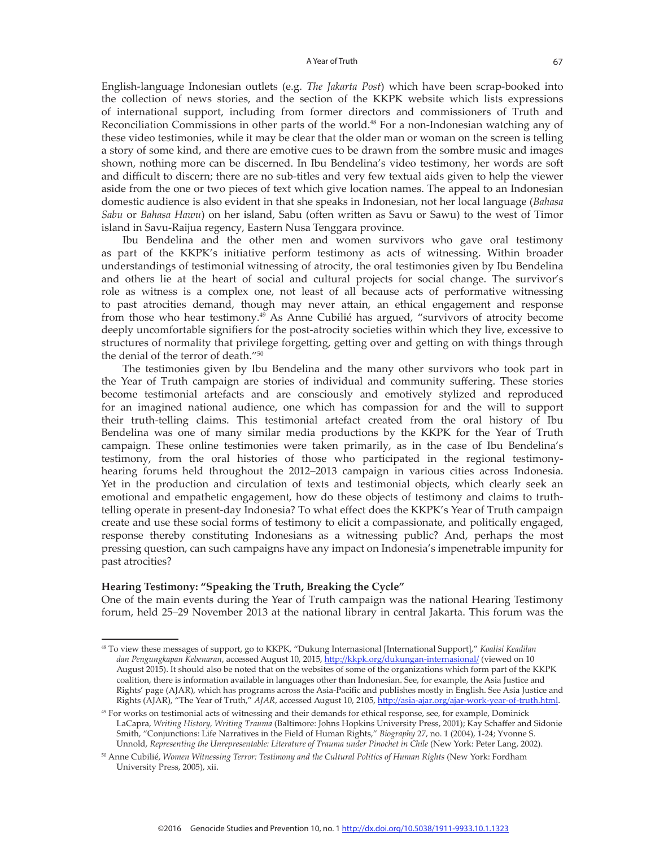English-language Indonesian outlets (e.g. *The Jakarta Post*) which have been scrap-booked into the collection of news stories, and the section of the KKPK website which lists expressions of international support, including from former directors and commissioners of Truth and Reconciliation Commissions in other parts of the world.<sup>48</sup> For a non-Indonesian watching any of these video testimonies, while it may be clear that the older man or woman on the screen is telling a story of some kind, and there are emotive cues to be drawn from the sombre music and images shown, nothing more can be discerned. In Ibu Bendelina's video testimony, her words are soft and difficult to discern; there are no sub-titles and very few textual aids given to help the viewer aside from the one or two pieces of text which give location names. The appeal to an Indonesian domestic audience is also evident in that she speaks in Indonesian, not her local language (*Bahasa Sabu* or *Bahasa Hawu*) on her island, Sabu (often written as Savu or Sawu) to the west of Timor island in Savu-Raijua regency, Eastern Nusa Tenggara province.

Ibu Bendelina and the other men and women survivors who gave oral testimony as part of the KKPK's initiative perform testimony as acts of witnessing. Within broader understandings of testimonial witnessing of atrocity, the oral testimonies given by Ibu Bendelina and others lie at the heart of social and cultural projects for social change. The survivor's role as witness is a complex one, not least of all because acts of performative witnessing to past atrocities demand, though may never attain, an ethical engagement and response from those who hear testimony.<sup>49</sup> As Anne Cubilié has argued, "survivors of atrocity become deeply uncomfortable signifiers for the post-atrocity societies within which they live, excessive to structures of normality that privilege forgetting, getting over and getting on with things through the denial of the terror of death."50

The testimonies given by Ibu Bendelina and the many other survivors who took part in the Year of Truth campaign are stories of individual and community suffering. These stories become testimonial artefacts and are consciously and emotively stylized and reproduced for an imagined national audience, one which has compassion for and the will to support their truth-telling claims. This testimonial artefact created from the oral history of Ibu Bendelina was one of many similar media productions by the KKPK for the Year of Truth campaign. These online testimonies were taken primarily, as in the case of Ibu Bendelina's testimony, from the oral histories of those who participated in the regional testimonyhearing forums held throughout the 2012–2013 campaign in various cities across Indonesia. Yet in the production and circulation of texts and testimonial objects, which clearly seek an emotional and empathetic engagement, how do these objects of testimony and claims to truthtelling operate in present-day Indonesia? To what effect does the KKPK's Year of Truth campaign create and use these social forms of testimony to elicit a compassionate, and politically engaged, response thereby constituting Indonesians as a witnessing public? And, perhaps the most pressing question, can such campaigns have any impact on Indonesia's impenetrable impunity for past atrocities?

## **Hearing Testimony: "Speaking the Truth, Breaking the Cycle"**

One of the main events during the Year of Truth campaign was the national Hearing Testimony forum, held 25–29 November 2013 at the national library in central Jakarta. This forum was the

<sup>48</sup> To view these messages of support, go to KKPK, "Dukung Internasional [International Support]," *Koalisi Keadilan dan Pengungkapan Kebenaran*, accessed August 10, 2015, http://kkpk.org/dukungan-internasional/ (viewed on 10 August 2015). It should also be noted that on the websites of some of the organizations which form part of the KKPK coalition, there is information available in languages other than Indonesian. See, for example, the Asia Justice and Rights' page (AJAR), which has programs across the Asia-Pacific and publishes mostly in English. See Asia Justice and Rights (AJAR), "The Year of Truth," *AJAR*, accessed August 10, 2105, http://asia-ajar.org/ajar-work-year-of-truth.html.

<sup>&</sup>lt;sup>49</sup> For works on testimonial acts of witnessing and their demands for ethical response, see, for example, Dominick LaCapra, *Writing History, Writing Trauma* (Baltimore: Johns Hopkins University Press, 2001); Kay Schaffer and Sidonie Smith, "Conjunctions: Life Narratives in the Field of Human Rights," *Biography* 27, no. 1 (2004), 1-24; Yvonne S. Unnold, *Representing the Unrepresentable: Literature of Trauma under Pinochet in Chile* (New York: Peter Lang, 2002).

<sup>50</sup> Anne Cubilié, *Women Witnessing Terror: Testimony and the Cultural Politics of Human Rights* (New York: Fordham University Press, 2005), xii.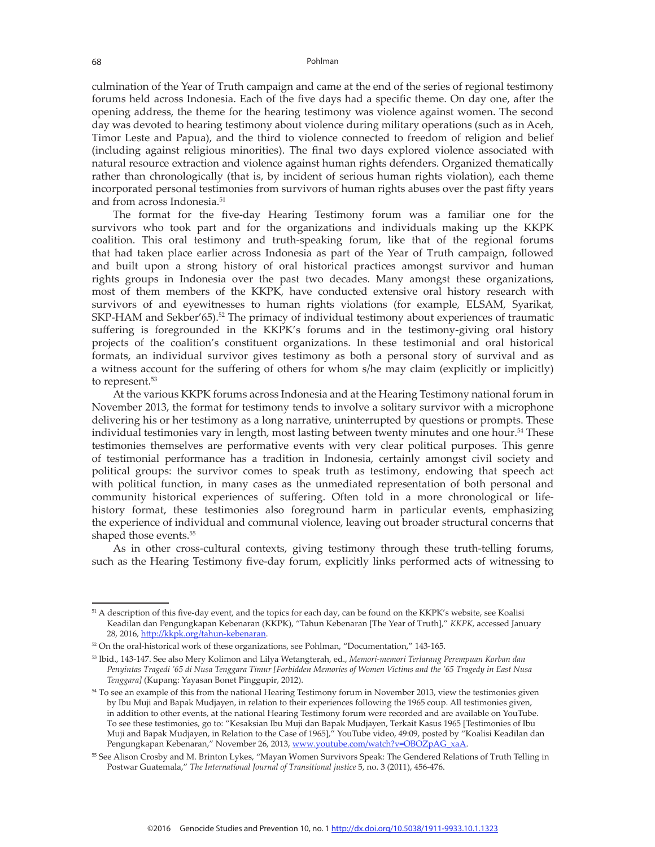culmination of the Year of Truth campaign and came at the end of the series of regional testimony forums held across Indonesia. Each of the five days had a specific theme. On day one, after the opening address, the theme for the hearing testimony was violence against women. The second day was devoted to hearing testimony about violence during military operations (such as in Aceh, Timor Leste and Papua), and the third to violence connected to freedom of religion and belief (including against religious minorities). The final two days explored violence associated with natural resource extraction and violence against human rights defenders. Organized thematically rather than chronologically (that is, by incident of serious human rights violation), each theme incorporated personal testimonies from survivors of human rights abuses over the past fifty years and from across Indonesia.51

The format for the five-day Hearing Testimony forum was a familiar one for the survivors who took part and for the organizations and individuals making up the KKPK coalition. This oral testimony and truth-speaking forum, like that of the regional forums that had taken place earlier across Indonesia as part of the Year of Truth campaign, followed and built upon a strong history of oral historical practices amongst survivor and human rights groups in Indonesia over the past two decades. Many amongst these organizations, most of them members of the KKPK, have conducted extensive oral history research with survivors of and eyewitnesses to human rights violations (for example, ELSAM, Syarikat, SKP-HAM and Sekber'65).<sup>52</sup> The primacy of individual testimony about experiences of traumatic suffering is foregrounded in the KKPK's forums and in the testimony-giving oral history projects of the coalition's constituent organizations. In these testimonial and oral historical formats, an individual survivor gives testimony as both a personal story of survival and as a witness account for the suffering of others for whom s/he may claim (explicitly or implicitly) to represent.<sup>53</sup>

At the various KKPK forums across Indonesia and at the Hearing Testimony national forum in November 2013, the format for testimony tends to involve a solitary survivor with a microphone delivering his or her testimony as a long narrative, uninterrupted by questions or prompts. These individual testimonies vary in length, most lasting between twenty minutes and one hour.<sup>54</sup> These testimonies themselves are performative events with very clear political purposes. This genre of testimonial performance has a tradition in Indonesia, certainly amongst civil society and political groups: the survivor comes to speak truth as testimony, endowing that speech act with political function, in many cases as the unmediated representation of both personal and community historical experiences of suffering. Often told in a more chronological or lifehistory format, these testimonies also foreground harm in particular events, emphasizing the experience of individual and communal violence, leaving out broader structural concerns that shaped those events.<sup>55</sup>

As in other cross-cultural contexts, giving testimony through these truth-telling forums, such as the Hearing Testimony five-day forum, explicitly links performed acts of witnessing to

<sup>&</sup>lt;sup>51</sup> A description of this five-day event, and the topics for each day, can be found on the KKPK's website, see Koalisi Keadilan dan Pengungkapan Kebenaran (KKPK), "Tahun Kebenaran [The Year of Truth]," *KKPK*, accessed January 28, 2016, http://kkpk.org/tahun-kebenaran.

<sup>52</sup> On the oral-historical work of these organizations, see Pohlman, "Documentation," 143-165.

<sup>53</sup> Ibid., 143-147. See also Mery Kolimon and Lilya Wetangterah, ed., *Memori-memori Terlarang Perempuan Korban dan Penyintas Tragedi '65 di Nusa Tenggara Timur [Forbidden Memories of Women Victims and the '65 Tragedy in East Nusa Tenggara]* (Kupang: Yayasan Bonet Pinggupir, 2012).

<sup>&</sup>lt;sup>54</sup> To see an example of this from the national Hearing Testimony forum in November 2013, view the testimonies given by Ibu Muji and Bapak Mudjayen, in relation to their experiences following the 1965 coup. All testimonies given, in addition to other events, at the national Hearing Testimony forum were recorded and are available on YouTube. To see these testimonies, go to: "Kesaksian Ibu Muji dan Bapak Mudjayen, Terkait Kasus 1965 [Testimonies of Ibu Muji and Bapak Mudjayen, in Relation to the Case of 1965]," YouTube video, 49:09, posted by "Koalisi Keadilan dan Pengungkapan Kebenaran," November 26, 2013, www.youtube.com/watch?v=OBOZpAG\_xaA.

<sup>55</sup> See Alison Crosby and M. Brinton Lykes, "Mayan Women Survivors Speak: The Gendered Relations of Truth Telling in Postwar Guatemala," *The International Journal of Transitional justice* 5, no. 3 (2011), 456-476.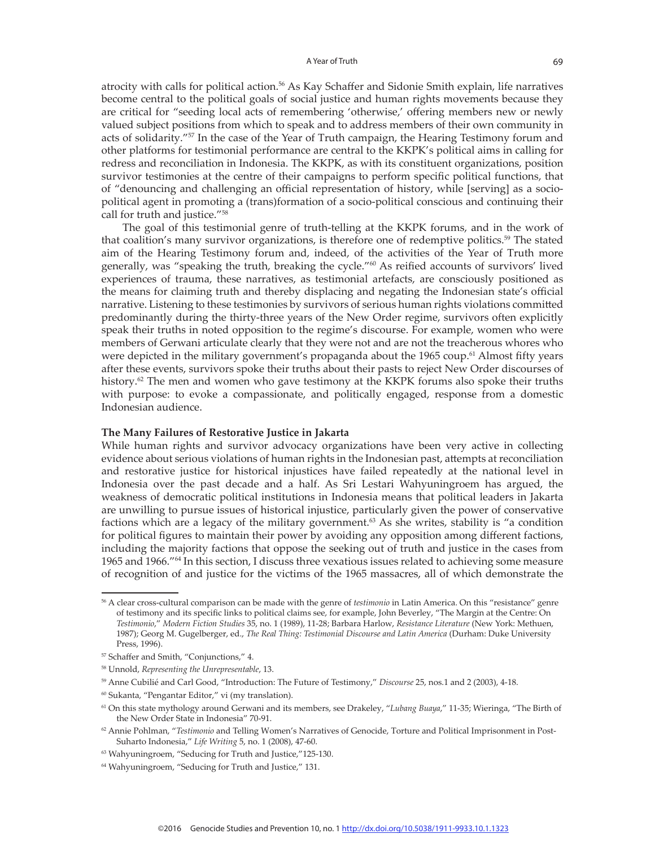atrocity with calls for political action.56 As Kay Schaffer and Sidonie Smith explain, life narratives become central to the political goals of social justice and human rights movements because they are critical for "seeding local acts of remembering 'otherwise,' offering members new or newly valued subject positions from which to speak and to address members of their own community in acts of solidarity."<sup>57</sup> In the case of the Year of Truth campaign, the Hearing Testimony forum and other platforms for testimonial performance are central to the KKPK's political aims in calling for redress and reconciliation in Indonesia. The KKPK, as with its constituent organizations, position survivor testimonies at the centre of their campaigns to perform specific political functions, that of "denouncing and challenging an official representation of history, while [serving] as a sociopolitical agent in promoting a (trans)formation of a socio-political conscious and continuing their call for truth and justice."58

The goal of this testimonial genre of truth-telling at the KKPK forums, and in the work of that coalition's many survivor organizations, is therefore one of redemptive politics.<sup>59</sup> The stated aim of the Hearing Testimony forum and, indeed, of the activities of the Year of Truth more generally, was "speaking the truth, breaking the cycle."60 As reified accounts of survivors' lived experiences of trauma, these narratives, as testimonial artefacts, are consciously positioned as the means for claiming truth and thereby displacing and negating the Indonesian state's official narrative. Listening to these testimonies by survivors of serious human rights violations committed predominantly during the thirty-three years of the New Order regime, survivors often explicitly speak their truths in noted opposition to the regime's discourse. For example, women who were members of Gerwani articulate clearly that they were not and are not the treacherous whores who were depicted in the military government's propaganda about the 1965 coup.<sup>61</sup> Almost fifty years after these events, survivors spoke their truths about their pasts to reject New Order discourses of history.<sup>62</sup> The men and women who gave testimony at the KKPK forums also spoke their truths with purpose: to evoke a compassionate, and politically engaged, response from a domestic Indonesian audience.

#### **The Many Failures of Restorative Justice in Jakarta**

While human rights and survivor advocacy organizations have been very active in collecting evidence about serious violations of human rights in the Indonesian past, attempts at reconciliation and restorative justice for historical injustices have failed repeatedly at the national level in Indonesia over the past decade and a half. As Sri Lestari Wahyuningroem has argued, the weakness of democratic political institutions in Indonesia means that political leaders in Jakarta are unwilling to pursue issues of historical injustice, particularly given the power of conservative factions which are a legacy of the military government.<sup>63</sup> As she writes, stability is "a condition for political figures to maintain their power by avoiding any opposition among different factions, including the majority factions that oppose the seeking out of truth and justice in the cases from 1965 and 1966."<sup>64</sup> In this section, I discuss three vexatious issues related to achieving some measure of recognition of and justice for the victims of the 1965 massacres, all of which demonstrate the

<sup>56</sup> A clear cross-cultural comparison can be made with the genre of *testimonio* in Latin America. On this "resistance" genre of testimony and its specific links to political claims see, for example, John Beverley, "The Margin at the Centre: On *Testimonio*," *Modern Fiction Studies* 35, no. 1 (1989), 11-28; Barbara Harlow, *Resistance Literature* (New York: Methuen, 1987); Georg M. Gugelberger, ed., *The Real Thing: Testimonial Discourse and Latin America* (Durham: Duke University Press, 1996).

<sup>57</sup> Schaffer and Smith, "Conjunctions," 4.

<sup>58</sup> Unnold, *Representing the Unrepresentable*, 13.

<sup>59</sup> Anne Cubilié and Carl Good, "Introduction: The Future of Testimony," *Discourse* 25, nos.1 and 2 (2003), 4-18.

<sup>60</sup> Sukanta, "Pengantar Editor," vi (my translation).

<sup>61</sup> On this state mythology around Gerwani and its members, see Drakeley, "*Lubang Buaya*," 11-35; Wieringa, "The Birth of the New Order State in Indonesia" 70-91.

<sup>62</sup> Annie Pohlman, "*Testimonio* and Telling Women's Narratives of Genocide, Torture and Political Imprisonment in Post-Suharto Indonesia," *Life Writing* 5, no. 1 (2008), 47-60.

<sup>63</sup> Wahyuningroem, "Seducing for Truth and Justice,"125-130.

<sup>64</sup> Wahyuningroem, "Seducing for Truth and Justice," 131.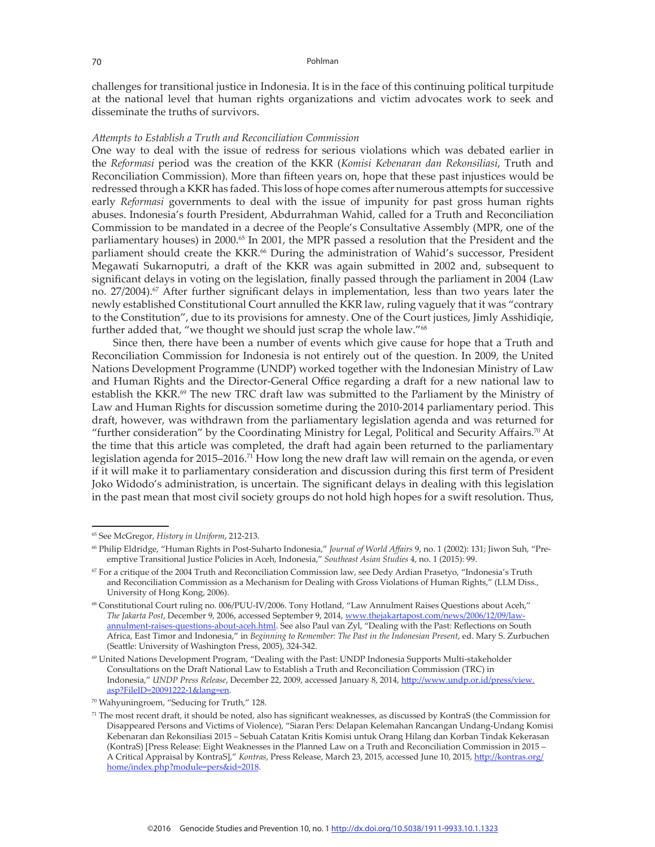challenges for transitional justice in Indonesia. It is in the face of this continuing political turpitude at the national level that human rights organizations and victim advocates work to seek and disseminate the truths of survivors.

#### *Attempts to Establish a Truth and Reconciliation Commission*

One way to deal with the issue of redress for serious violations which was debated earlier in the *Reformasi* period was the creation of the KKR (*Komisi Kebenaran dan Rekonsiliasi*, Truth and Reconciliation Commission). More than fifteen years on, hope that these past injustices would be redressed through a KKR has faded. This loss of hope comes after numerous attempts for successive early *Reformasi* governments to deal with the issue of impunity for past gross human rights abuses. Indonesia's fourth President, Abdurrahman Wahid, called for a Truth and Reconciliation Commission to be mandated in a decree of the People's Consultative Assembly (MPR, one of the parliamentary houses) in 2000.<sup>65</sup> In 2001, the MPR passed a resolution that the President and the parliament should create the KKR.<sup>66</sup> During the administration of Wahid's successor, President Megawati Sukarnoputri, a draft of the KKR was again submitted in 2002 and, subsequent to significant delays in voting on the legislation, finally passed through the parliament in 2004 (Law no.  $27/2004$ .<sup>67</sup> After further significant delays in implementation, less than two years later the newly established Constitutional Court annulled the KKR law, ruling vaguely that it was "contrary to the Constitution", due to its provisions for amnesty. One of the Court justices, Jimly Asshidiqie, further added that, "we thought we should just scrap the whole law."<sup>68</sup>

Since then, there have been a number of events which give cause for hope that a Truth and Reconciliation Commission for Indonesia is not entirely out of the question. In 2009, the United Nations Development Programme (UNDP) worked together with the Indonesian Ministry of Law and Human Rights and the Director-General Office regarding a draft for a new national law to establish the KKR.<sup>69</sup> The new TRC draft law was submitted to the Parliament by the Ministry of Law and Human Rights for discussion sometime during the 2010-2014 parliamentary period. This draft, however, was withdrawn from the parliamentary legislation agenda and was returned for "further consideration" by the Coordinating Ministry for Legal, Political and Security Affairs.<sup>70</sup> At the time that this article was completed, the draft had again been returned to the parliamentary legislation agenda for 2015–2016.<sup>71</sup> How long the new draft law will remain on the agenda, or even if it will make it to parliamentary consideration and discussion during this first term of President Joko Widodo's administration, is uncertain. The significant delays in dealing with this legislation in the past mean that most civil society groups do not hold high hopes for a swift resolution. Thus,

<sup>65</sup> See McGregor, *History in Uniform*, 212-213.

<sup>66</sup> Philip Eldridge, "Human Rights in Post-Suharto Indonesia," *Journal of World Affairs* 9, no. 1 (2002): 131; Jiwon Suh, "Preemptive Transitional Justice Policies in Aceh, Indonesia," *Southeast Asian Studies* 4, no. 1 (2015): 99.

 $67$  For a critique of the 2004 Truth and Reconciliation Commission law, see Dedy Ardian Prasetyo, "Indonesia's Truth and Reconciliation Commission as a Mechanism for Dealing with Gross Violations of Human Rights," (LLM Diss., University of Hong Kong, 2006).

<sup>68</sup> Constitutional Court ruling no. 006/PUU-IV/2006. Tony Hotland, "Law Annulment Raises Questions about Aceh," *The Jakarta Post*, December 9, 2006, accessed September 9, 2014, www.thejakartapost.com/news/2006/12/09/lawannulment-raises-questions-about-aceh.html. See also Paul van Zyl, "Dealing with the Past: Reflections on South Africa, East Timor and Indonesia," in *Beginning to Remember: The Past in the Indonesian Present*, ed. Mary S. Zurbuchen (Seattle: University of Washington Press, 2005), 324-342.

<sup>69</sup> United Nations Development Program, "Dealing with the Past: UNDP Indonesia Supports Multi-stakeholder Consultations on the Draft National Law to Establish a Truth and Reconciliation Commission (TRC) in Indonesia," *UNDP Press Release*, December 22, 2009, accessed January 8, 2014, http://www.undp.or.id/press/view. asp?FileID=20091222-1&lang=en.

<sup>70</sup> Wahyuningroem, "Seducing for Truth," 128.

<sup>71</sup> The most recent draft, it should be noted, also has significant weaknesses, as discussed by KontraS (the Commission for Disappeared Persons and Victims of Violence), "Siaran Pers: Delapan Kelemahan Rancangan Undang-Undang Komisi Kebenaran dan Rekonsiliasi 2015 – Sebuah Catatan Kritis Komisi untuk Orang Hilang dan Korban Tindak Kekerasan (KontraS) [Press Release: Eight Weaknesses in the Planned Law on a Truth and Reconciliation Commission in 2015 – A Critical Appraisal by KontraS]," *Kontras*, Press Release, March 23, 2015, accessed June 10, 2015, http://kontras.org/ home/index.php?module=pers&id=2018.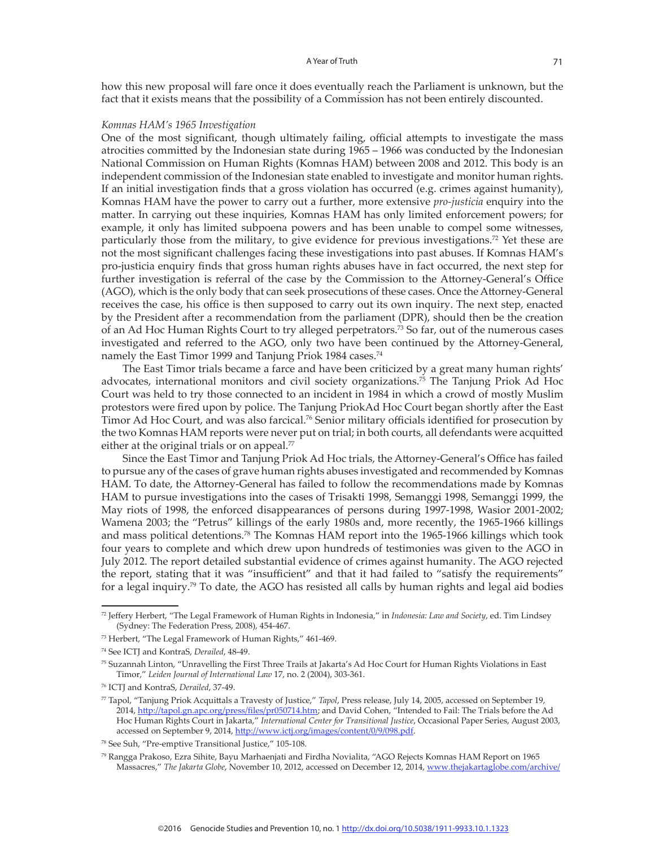how this new proposal will fare once it does eventually reach the Parliament is unknown, but the fact that it exists means that the possibility of a Commission has not been entirely discounted.

#### *Komnas HAM's 1965 Investigation*

One of the most significant, though ultimately failing, official attempts to investigate the mass atrocities committed by the Indonesian state during 1965 – 1966 was conducted by the Indonesian National Commission on Human Rights (Komnas HAM) between 2008 and 2012. This body is an independent commission of the Indonesian state enabled to investigate and monitor human rights. If an initial investigation finds that a gross violation has occurred (e.g. crimes against humanity), Komnas HAM have the power to carry out a further, more extensive *pro-justicia* enquiry into the matter. In carrying out these inquiries, Komnas HAM has only limited enforcement powers; for example, it only has limited subpoena powers and has been unable to compel some witnesses, particularly those from the military, to give evidence for previous investigations.<sup>72</sup> Yet these are not the most significant challenges facing these investigations into past abuses. If Komnas HAM's pro-justicia enquiry finds that gross human rights abuses have in fact occurred, the next step for further investigation is referral of the case by the Commission to the Attorney-General's Office (AGO), which is the only body that can seek prosecutions of these cases. Once the Attorney-General receives the case, his office is then supposed to carry out its own inquiry. The next step, enacted by the President after a recommendation from the parliament (DPR), should then be the creation of an Ad Hoc Human Rights Court to try alleged perpetrators.73 So far, out of the numerous cases investigated and referred to the AGO, only two have been continued by the Attorney-General, namely the East Timor 1999 and Tanjung Priok 1984 cases.<sup>74</sup>

The East Timor trials became a farce and have been criticized by a great many human rights' advocates, international monitors and civil society organizations.<sup>75</sup> The Tanjung Priok Ad Hoc Court was held to try those connected to an incident in 1984 in which a crowd of mostly Muslim protestors were fired upon by police. The Tanjung PriokAd Hoc Court began shortly after the East Timor Ad Hoc Court, and was also farcical.<sup>76</sup> Senior military officials identified for prosecution by the two Komnas HAM reports were never put on trial; in both courts, all defendants were acquitted either at the original trials or on appeal. $77$ 

Since the East Timor and Tanjung Priok Ad Hoc trials, the Attorney-General's Office has failed to pursue any of the cases of grave human rights abuses investigated and recommended by Komnas HAM. To date, the Attorney-General has failed to follow the recommendations made by Komnas HAM to pursue investigations into the cases of Trisakti 1998, Semanggi 1998, Semanggi 1999, the May riots of 1998, the enforced disappearances of persons during 1997-1998, Wasior 2001-2002; Wamena 2003; the "Petrus" killings of the early 1980s and, more recently, the 1965-1966 killings and mass political detentions.78 The Komnas HAM report into the 1965-1966 killings which took four years to complete and which drew upon hundreds of testimonies was given to the AGO in July 2012. The report detailed substantial evidence of crimes against humanity. The AGO rejected the report, stating that it was "insufficient" and that it had failed to "satisfy the requirements" for a legal inquiry.79 To date, the AGO has resisted all calls by human rights and legal aid bodies

<sup>72</sup> Jeffery Herbert, "The Legal Framework of Human Rights in Indonesia," in *Indonesia: Law and Society*, ed. Tim Lindsey (Sydney: The Federation Press, 2008), 454-467.

<sup>73</sup> Herbert, "The Legal Framework of Human Rights," 461-469.

<sup>74</sup> See ICTJ and KontraS, *Derailed*, 48-49.

<sup>75</sup> Suzannah Linton, "Unravelling the First Three Trails at Jakarta's Ad Hoc Court for Human Rights Violations in East Timor," *Leiden Journal of International Law* 17, no. 2 (2004), 303-361.

<sup>76</sup> ICTJ and KontraS, *Derailed*, 37-49.

<sup>77</sup> Tapol, "Tanjung Priok Acquittals a Travesty of Justice," *Tapol*, Press release, July 14, 2005, accessed on September 19, 2014, http://tapol.gn.apc.org/press/files/pr050714.htm; and David Cohen, "Intended to Fail: The Trials before the Ad Hoc Human Rights Court in Jakarta," *International Center for Transitional Justice*, Occasional Paper Series, August 2003, accessed on September 9, 2014, http://www.ictj.org/images/content/0/9/098.pdf.

<sup>78</sup> See Suh, "Pre-emptive Transitional Justice," 105-108.

<sup>79</sup> Rangga Prakoso, Ezra Sihite, Bayu Marhaenjati and Firdha Novialita, "AGO Rejects Komnas HAM Report on 1965 Massacres," *The Jakarta Globe*, November 10, 2012, accessed on December 12, 2014, www.thejakartaglobe.com/archive/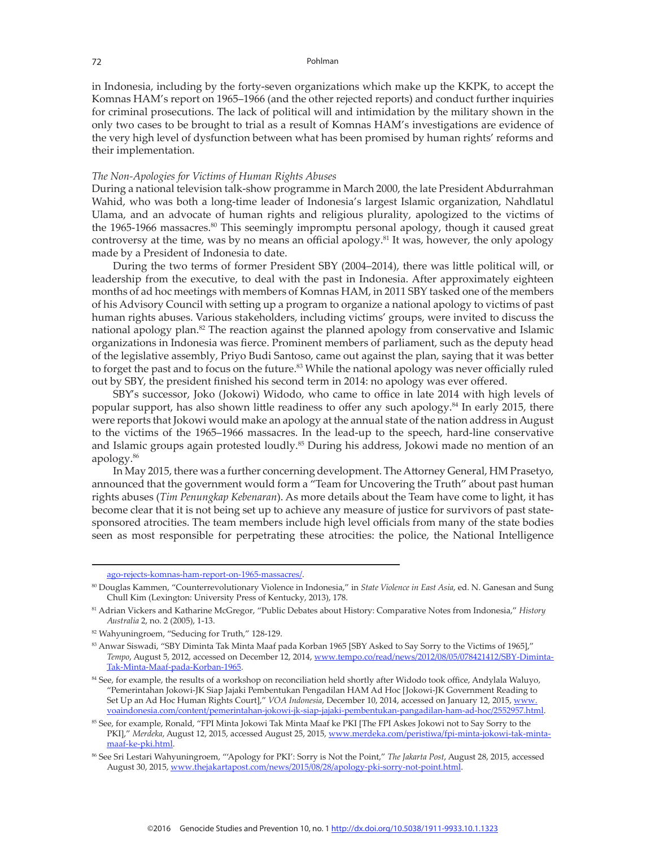in Indonesia, including by the forty-seven organizations which make up the KKPK, to accept the Komnas HAM's report on 1965–1966 (and the other rejected reports) and conduct further inquiries for criminal prosecutions. The lack of political will and intimidation by the military shown in the only two cases to be brought to trial as a result of Komnas HAM's investigations are evidence of the very high level of dysfunction between what has been promised by human rights' reforms and their implementation.

## *The Non-Apologies for Victims of Human Rights Abuses*

During a national television talk-show programme in March 2000, the late President Abdurrahman Wahid, who was both a long-time leader of Indonesia's largest Islamic organization, Nahdlatul Ulama, and an advocate of human rights and religious plurality, apologized to the victims of the 1965-1966 massacres.<sup>80</sup> This seemingly impromptu personal apology, though it caused great controversy at the time, was by no means an official apology.<sup>81</sup> It was, however, the only apology made by a President of Indonesia to date.

During the two terms of former President SBY (2004–2014), there was little political will, or leadership from the executive, to deal with the past in Indonesia. After approximately eighteen months of ad hoc meetings with members of Komnas HAM, in 2011 SBY tasked one of the members of his Advisory Council with setting up a program to organize a national apology to victims of past human rights abuses. Various stakeholders, including victims' groups, were invited to discuss the national apology plan.<sup>82</sup> The reaction against the planned apology from conservative and Islamic organizations in Indonesia was fierce. Prominent members of parliament, such as the deputy head of the legislative assembly, Priyo Budi Santoso, came out against the plan, saying that it was better to forget the past and to focus on the future.<sup>83</sup> While the national apology was never officially ruled out by SBY, the president finished his second term in 2014: no apology was ever offered.

SBY's successor, Joko (Jokowi) Widodo, who came to office in late 2014 with high levels of popular support, has also shown little readiness to offer any such apology.<sup>84</sup> In early 2015, there were reports that Jokowi would make an apology at the annual state of the nation address in August to the victims of the 1965–1966 massacres. In the lead-up to the speech, hard-line conservative and Islamic groups again protested loudly.<sup>85</sup> During his address, Jokowi made no mention of an apology.<sup>86</sup>

In May 2015, there was a further concerning development. The Attorney General, HM Prasetyo, announced that the government would form a "Team for Uncovering the Truth" about past human rights abuses (*Tim Penungkap Kebenaran*). As more details about the Team have come to light, it has become clear that it is not being set up to achieve any measure of justice for survivors of past statesponsored atrocities. The team members include high level officials from many of the state bodies seen as most responsible for perpetrating these atrocities: the police, the National Intelligence

ago-rejects-komnas-ham-report-on-1965-massacres/.

<sup>80</sup> Douglas Kammen, "Counterrevolutionary Violence in Indonesia," in *State Violence in East Asia*, ed. N. Ganesan and Sung Chull Kim (Lexington: University Press of Kentucky, 2013), 178.

<sup>81</sup> Adrian Vickers and Katharine McGregor, "Public Debates about History: Comparative Notes from Indonesia," *History Australia* 2, no. 2 (2005), 1-13.

<sup>82</sup> Wahyuningroem, "Seducing for Truth," 128-129.

<sup>83</sup> Anwar Siswadi, "SBY Diminta Tak Minta Maaf pada Korban 1965 [SBY Asked to Say Sorry to the Victims of 1965]," *Tempo*, August 5, 2012, accessed on December 12, 2014, www.tempo.co/read/news/2012/08/05/078421412/SBY-Diminta-Tak-Minta-Maaf-pada-Korban-1965.

<sup>&</sup>lt;sup>84</sup> See, for example, the results of a workshop on reconciliation held shortly after Widodo took office, Andylala Waluyo, "Pemerintahan Jokowi-JK Siap Jajaki Pembentukan Pengadilan HAM Ad Hoc [Jokowi-JK Government Reading to Set Up an Ad Hoc Human Rights Court]," *VOA Indonesia*, December 10, 2014, accessed on January 12, 2015, www. voaindonesia.com/content/pemerintahan-jokowi-jk-siap-jajaki-pembentukan-pangadilan-ham-ad-hoc/2552957.html.

<sup>85</sup> See, for example, Ronald, "FPI Minta Jokowi Tak Minta Maaf ke PKI [The FPI Askes Jokowi not to Say Sorry to the PKI]," *Merdeka*, August 12, 2015, accessed August 25, 2015, www.merdeka.com/peristiwa/fpi-minta-jokowi-tak-mintamaaf-ke-pki.html.

<sup>86</sup> See Sri Lestari Wahyuningroem, "'Apology for PKI': Sorry is Not the Point," *The Jakarta Post*, August 28, 2015, accessed August 30, 2015, www.thejakartapost.com/news/2015/08/28/apology-pki-sorry-not-point.html.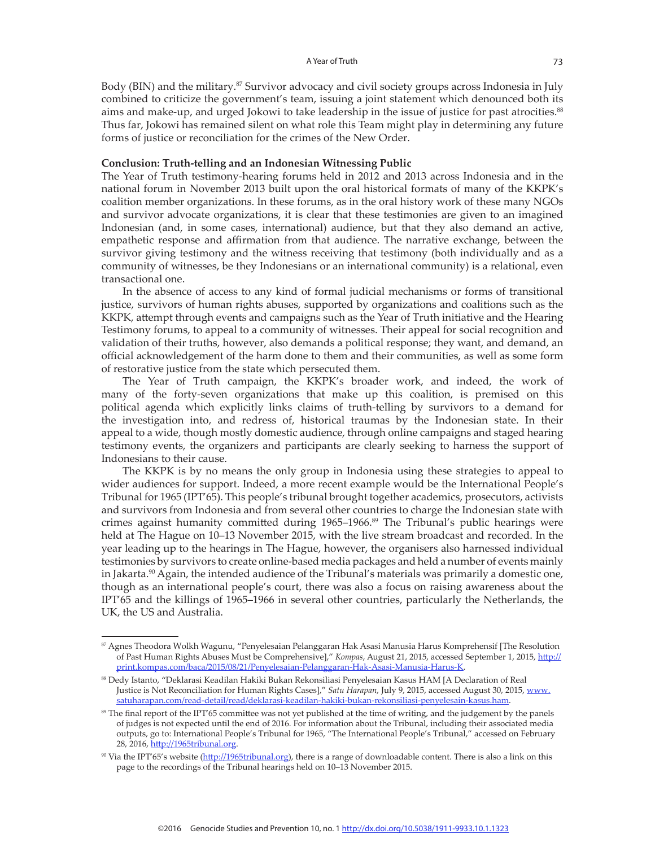Body (BIN) and the military.<sup>87</sup> Survivor advocacy and civil society groups across Indonesia in July combined to criticize the government's team, issuing a joint statement which denounced both its aims and make-up, and urged Jokowi to take leadership in the issue of justice for past atrocities.<sup>88</sup> Thus far, Jokowi has remained silent on what role this Team might play in determining any future forms of justice or reconciliation for the crimes of the New Order.

#### **Conclusion: Truth-telling and an Indonesian Witnessing Public**

The Year of Truth testimony-hearing forums held in 2012 and 2013 across Indonesia and in the national forum in November 2013 built upon the oral historical formats of many of the KKPK's coalition member organizations. In these forums, as in the oral history work of these many NGOs and survivor advocate organizations, it is clear that these testimonies are given to an imagined Indonesian (and, in some cases, international) audience, but that they also demand an active, empathetic response and affirmation from that audience. The narrative exchange, between the survivor giving testimony and the witness receiving that testimony (both individually and as a community of witnesses, be they Indonesians or an international community) is a relational, even transactional one.

In the absence of access to any kind of formal judicial mechanisms or forms of transitional justice, survivors of human rights abuses, supported by organizations and coalitions such as the KKPK, attempt through events and campaigns such as the Year of Truth initiative and the Hearing Testimony forums, to appeal to a community of witnesses. Their appeal for social recognition and validation of their truths, however, also demands a political response; they want, and demand, an official acknowledgement of the harm done to them and their communities, as well as some form of restorative justice from the state which persecuted them.

The Year of Truth campaign, the KKPK's broader work, and indeed, the work of many of the forty-seven organizations that make up this coalition, is premised on this political agenda which explicitly links claims of truth-telling by survivors to a demand for the investigation into, and redress of, historical traumas by the Indonesian state. In their appeal to a wide, though mostly domestic audience, through online campaigns and staged hearing testimony events, the organizers and participants are clearly seeking to harness the support of Indonesians to their cause.

The KKPK is by no means the only group in Indonesia using these strategies to appeal to wider audiences for support. Indeed, a more recent example would be the International People's Tribunal for 1965 (IPT'65). This people's tribunal brought together academics, prosecutors, activists and survivors from Indonesia and from several other countries to charge the Indonesian state with crimes against humanity committed during 1965-1966.<sup>89</sup> The Tribunal's public hearings were held at The Hague on 10–13 November 2015, with the live stream broadcast and recorded. In the year leading up to the hearings in The Hague, however, the organisers also harnessed individual testimonies by survivors to create online-based media packages and held a number of events mainly in Jakarta.<sup>90</sup> Again, the intended audience of the Tribunal's materials was primarily a domestic one, though as an international people's court, there was also a focus on raising awareness about the IPT'65 and the killings of 1965–1966 in several other countries, particularly the Netherlands, the UK, the US and Australia.

<sup>87</sup> Agnes Theodora Wolkh Wagunu, "Penyelesaian Pelanggaran Hak Asasi Manusia Harus Komprehensif [The Resolution of Past Human Rights Abuses Must be Comprehensive]," *Kompas*, August 21, 2015, accessed September 1, 2015, http:// print.kompas.com/baca/2015/08/21/Penyelesaian-Pelanggaran-Hak-Asasi-Manusia-Harus-K.

<sup>88</sup> Dedy Istanto, "Deklarasi Keadilan Hakiki Bukan Rekonsiliasi Penyelesaian Kasus HAM [A Declaration of Real Justice is Not Reconciliation for Human Rights Cases]," *Satu Harapan*, July 9, 2015, accessed August 30, 2015, www. satuharapan.com/read-detail/read/deklarasi-keadilan-hakiki-bukan-rekonsiliasi-penyelesain-kasus.ham.

<sup>&</sup>lt;sup>89</sup> The final report of the IPT'65 committee was not yet published at the time of writing, and the judgement by the panels of judges is not expected until the end of 2016. For information about the Tribunal, including their associated media outputs, go to: International People's Tribunal for 1965, "The International People's Tribunal," accessed on February 28, 2016, http://1965tribunal.org.

<sup>90</sup> Via the IPT'65's website (http://1965tribunal.org), there is a range of downloadable content. There is also a link on this page to the recordings of the Tribunal hearings held on 10–13 November 2015.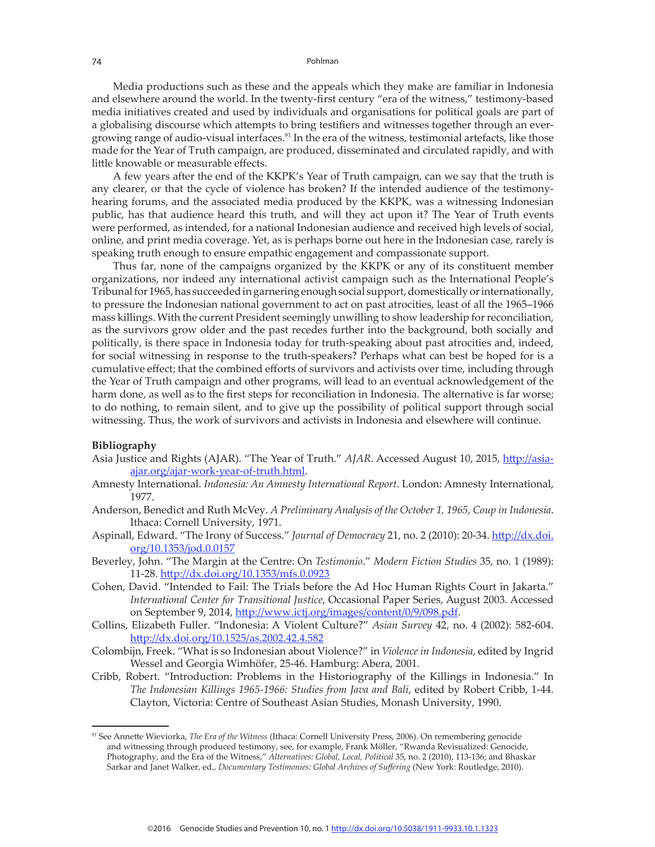Media productions such as these and the appeals which they make are familiar in Indonesia and elsewhere around the world. In the twenty-first century "era of the witness," testimony-based media initiatives created and used by individuals and organisations for political goals are part of a globalising discourse which attempts to bring testifiers and witnesses together through an evergrowing range of audio-visual interfaces.<sup>91</sup> In the era of the witness, testimonial artefacts, like those made for the Year of Truth campaign, are produced, disseminated and circulated rapidly, and with little knowable or measurable effects.

A few years after the end of the KKPK's Year of Truth campaign, can we say that the truth is any clearer, or that the cycle of violence has broken? If the intended audience of the testimonyhearing forums, and the associated media produced by the KKPK, was a witnessing Indonesian public, has that audience heard this truth, and will they act upon it? The Year of Truth events were performed, as intended, for a national Indonesian audience and received high levels of social, online, and print media coverage. Yet, as is perhaps borne out here in the Indonesian case, rarely is speaking truth enough to ensure empathic engagement and compassionate support.

Thus far, none of the campaigns organized by the KKPK or any of its constituent member organizations, nor indeed any international activist campaign such as the International People's Tribunal for 1965, has succeeded in garnering enough social support, domestically or internationally, to pressure the Indonesian national government to act on past atrocities, least of all the 1965–1966 mass killings. With the current President seemingly unwilling to show leadership for reconciliation, as the survivors grow older and the past recedes further into the background, both socially and politically, is there space in Indonesia today for truth-speaking about past atrocities and, indeed, for social witnessing in response to the truth-speakers? Perhaps what can best be hoped for is a cumulative effect; that the combined efforts of survivors and activists over time, including through the Year of Truth campaign and other programs, will lead to an eventual acknowledgement of the harm done, as well as to the first steps for reconciliation in Indonesia. The alternative is far worse; to do nothing, to remain silent, and to give up the possibility of political support through social witnessing. Thus, the work of survivors and activists in Indonesia and elsewhere will continue.

## **Bibliography**

- Asia Justice and Rights (AJAR). "The Year of Truth." AJAR. Accessed August 10, 2015, http://asiaajar.org/ajar-work-year-of-truth.html.
- Amnesty International. *Indonesia: An Amnesty International Report*. London: Amnesty International, 1977.
- Anderson, Benedict and Ruth McVey. *A Preliminary Analysis of the October 1, 1965, Coup in Indonesia*. Ithaca: Cornell University, 1971.
- Aspinall, Edward. "The Irony of Success." *Journal of Democracy* 21, no. 2 (2010): 20-34. http://dx.doi. org/10.1353/jod.0.0157
- Beverley, John. "The Margin at the Centre: On *Testimonio*." *Modern Fiction Studies* 35, no. 1 (1989): 11-28. http://dx.doi.org/10.1353/mfs.0.0923
- Cohen, David. "Intended to Fail: The Trials before the Ad Hoc Human Rights Court in Jakarta." *International Center for Transitional Justice*, Occasional Paper Series, August 2003. Accessed on September 9, 2014, http://www.ictj.org/images/content/0/9/098.pdf.
- Collins, Elizabeth Fuller. "Indonesia: A Violent Culture?" *Asian Survey* 42, no. 4 (2002): 582-604. http://dx.doi.org/10.1525/as.2002.42.4.582
- Colombijn, Freek. "What is so Indonesian about Violence?" in *Violence in Indonesia*, edited by Ingrid Wessel and Georgia Wimhöfer, 25-46. Hamburg: Abera, 2001.
- Cribb, Robert. "Introduction: Problems in the Historiography of the Killings in Indonesia." In *The Indonesian Killings 1965-1966: Studies from Java and Bali*, edited by Robert Cribb, 1-44. Clayton, Victoria: Centre of Southeast Asian Studies, Monash University, 1990.

<sup>91</sup> See Annette Wieviorka, *The Era of the Witness* (Ithaca: Cornell University Press, 2006). On remembering genocide and witnessing through produced testimony, see, for example, Frank Möller, "Rwanda Revisualized: Genocide, Photography, and the Era of the Witness," *Alternatives: Global, Local, Political* 35, no. 2 (2010), 113-136; and Bhaskar Sarkar and Janet Walker, ed., *Documentary Testimonies: Global Archives of Suffering* (New York: Routledge, 2010).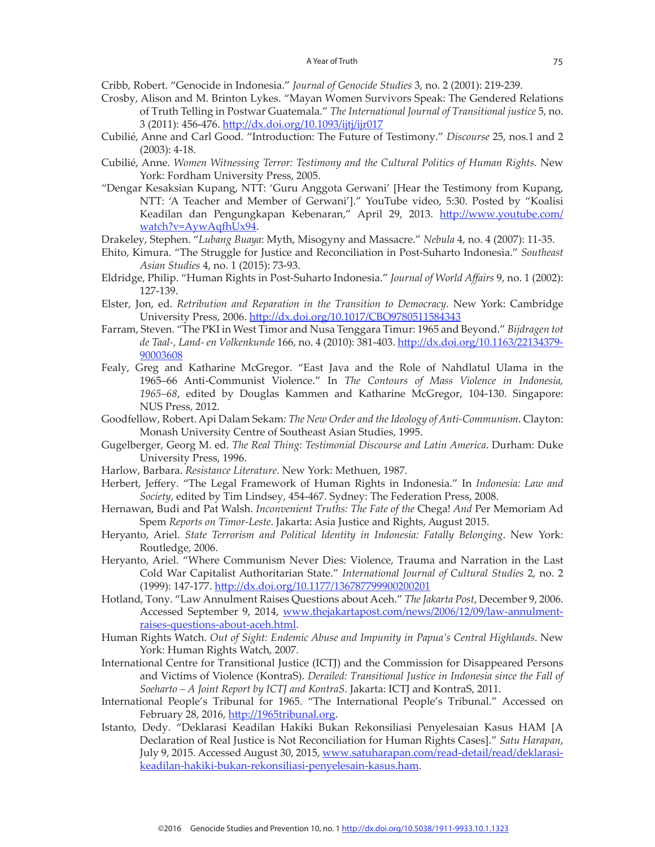Cribb, Robert. "Genocide in Indonesia." *Journal of Genocide Studies* 3, no. 2 (2001): 219-239.

- Crosby, Alison and M. Brinton Lykes. "Mayan Women Survivors Speak: The Gendered Relations of Truth Telling in Postwar Guatemala." *The International Journal of Transitional justice* 5, no. 3 (2011): 456-476. http://dx.doi.org/10.1093/ijtj/ijr017
- Cubilié, Anne and Carl Good. "Introduction: The Future of Testimony." *Discourse* 25, nos.1 and 2 (2003): 4-18.
- Cubilié, Anne. *Women Witnessing Terror: Testimony and the Cultural Politics of Human Rights*. New York: Fordham University Press, 2005.
- "Dengar Kesaksian Kupang, NTT: 'Guru Anggota Gerwani' [Hear the Testimony from Kupang, NTT: 'A Teacher and Member of Gerwani']." YouTube video, 5:30. Posted by "Koalisi Keadilan dan Pengungkapan Kebenaran," April 29, 2013. http://www.youtube.com/ watch?v=AywAqfhUx94.
- Drakeley, Stephen. "*Lubang Buaya*: Myth, Misogyny and Massacre." *Nebula* 4, no. 4 (2007): 11-35.
- Ehito, Kimura. "The Struggle for Justice and Reconciliation in Post-Suharto Indonesia." *Southeast Asian Studies* 4, no. 1 (2015): 73-93.
- Eldridge, Philip. "Human Rights in Post-Suharto Indonesia." *Journal of World Affairs* 9, no. 1 (2002): 127-139.
- Elster, Jon, ed. *Retribution and Reparation in the Transition to Democracy*. New York: Cambridge University Press, 2006. http://dx.doi.org/10.1017/CBO9780511584343
- Farram, Steven. "The PKI in West Timor and Nusa Tenggara Timur: 1965 and Beyond." *Bijdragen tot de Taal-, Land- en Volkenkunde* 166, no. 4 (2010): 381-403. http://dx.doi.org/10.1163/22134379- 90003608
- Fealy, Greg and Katharine McGregor. "East Java and the Role of Nahdlatul Ulama in the 1965–66 Anti-Communist Violence." In *The Contours of Mass Violence in Indonesia, 1965–68*, edited by Douglas Kammen and Katharine McGregor, 104-130. Singapore: NUS Press, 2012.
- Goodfellow, Robert. Api Dalam Sekam*: The New Order and the Ideology of Anti-Communism*. Clayton: Monash University Centre of Southeast Asian Studies, 1995.
- Gugelberger, Georg M. ed. *The Real Thing: Testimonial Discourse and Latin America*. Durham: Duke University Press, 1996.
- Harlow, Barbara. *Resistance Literature*. New York: Methuen, 1987.
- Herbert, Jeffery. "The Legal Framework of Human Rights in Indonesia." In *Indonesia: Law and Society*, edited by Tim Lindsey, 454-467. Sydney: The Federation Press, 2008.
- Hernawan, Budi and Pat Walsh. *Inconvenient Truths: The Fate of the* Chega! *And* Per Memoriam Ad Spem *Reports on Timor-Leste*. Jakarta: Asia Justice and Rights, August 2015.
- Heryanto, Ariel. *State Terrorism and Political Identity in Indonesia: Fatally Belonging*. New York: Routledge, 2006.
- Heryanto, Ariel. "Where Communism Never Dies: Violence, Trauma and Narration in the Last Cold War Capitalist Authoritarian State." *International Journal of Cultural Studies* 2, no. 2 (1999): 147-177. http://dx.doi.org/10.1177/136787799900200201
- Hotland, Tony. "Law Annulment Raises Questions about Aceh." *The Jakarta Post*, December 9, 2006. Accessed September 9, 2014, www.thejakartapost.com/news/2006/12/09/law-annulmentraises-questions-about-aceh.html.
- Human Rights Watch. *Out of Sight: Endemic Abuse and Impunity in Papua's Central Highlands*. New York: Human Rights Watch, 2007.
- International Centre for Transitional Justice (ICTJ) and the Commission for Disappeared Persons and Victims of Violence (KontraS). *Derailed: Transitional Justice in Indonesia since the Fall of Soeharto – A Joint Report by ICTJ and KontraS*. Jakarta: ICTJ and KontraS, 2011.
- International People's Tribunal for 1965. "The International People's Tribunal." Accessed on February 28, 2016, http://1965tribunal.org.
- Istanto, Dedy. "Deklarasi Keadilan Hakiki Bukan Rekonsiliasi Penyelesaian Kasus HAM [A Declaration of Real Justice is Not Reconciliation for Human Rights Cases]." *Satu Harapan*, July 9, 2015. Accessed August 30, 2015, www.satuharapan.com/read-detail/read/deklarasikeadilan-hakiki-bukan-rekonsiliasi-penyelesain-kasus.ham.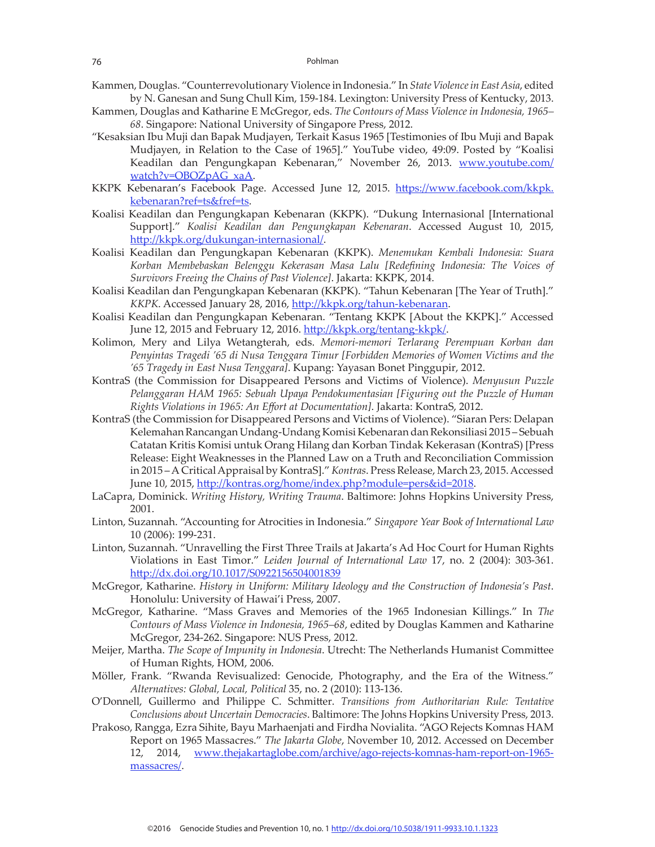- Kammen, Douglas. "Counterrevolutionary Violence in Indonesia." In *State Violence in East Asia*, edited by N. Ganesan and Sung Chull Kim, 159-184. Lexington: University Press of Kentucky, 2013.
- Kammen, Douglas and Katharine E McGregor, eds. *The Contours of Mass Violence in Indonesia, 1965– 68*. Singapore: National University of Singapore Press, 2012.
- "Kesaksian Ibu Muji dan Bapak Mudjayen, Terkait Kasus 1965 [Testimonies of Ibu Muji and Bapak Mudjayen, in Relation to the Case of 1965]." YouTube video, 49:09. Posted by "Koalisi Keadilan dan Pengungkapan Kebenaran," November 26, 2013. www.youtube.com/ watch?v=OBOZpAG\_xaA.
- KKPK Kebenaran's Facebook Page. Accessed June 12, 2015. https://www.facebook.com/kkpk. kebenaran?ref=ts&fref=ts.
- Koalisi Keadilan dan Pengungkapan Kebenaran (KKPK). "Dukung Internasional [International Support]." *Koalisi Keadilan dan Pengungkapan Kebenaran*. Accessed August 10, 2015, http://kkpk.org/dukungan-internasional/.
- Koalisi Keadilan dan Pengungkapan Kebenaran (KKPK). *Menemukan Kembali Indonesia: Suara Korban Membebaskan Belenggu Kekerasan Masa Lalu [Redefining Indonesia: The Voices of Survivors Freeing the Chains of Past Violence]*. Jakarta: KKPK, 2014.
- Koalisi Keadilan dan Pengungkapan Kebenaran (KKPK). "Tahun Kebenaran [The Year of Truth]." *KKPK*. Accessed January 28, 2016, http://kkpk.org/tahun-kebenaran.
- Koalisi Keadilan dan Pengungkapan Kebenaran. "Tentang KKPK [About the KKPK]." Accessed June 12, 2015 and February 12, 2016. http://kkpk.org/tentang-kkpk/.
- Kolimon, Mery and Lilya Wetangterah, eds. *Memori-memori Terlarang Perempuan Korban dan Penyintas Tragedi '65 di Nusa Tenggara Timur [Forbidden Memories of Women Victims and the '65 Tragedy in East Nusa Tenggara]*. Kupang: Yayasan Bonet Pinggupir, 2012.
- KontraS (the Commission for Disappeared Persons and Victims of Violence). *Menyusun Puzzle Pelanggaran HAM 1965: Sebuah Upaya Pendokumentasian [Figuring out the Puzzle of Human Rights Violations in 1965: An Effort at Documentation]*. Jakarta: KontraS, 2012.
- KontraS (the Commission for Disappeared Persons and Victims of Violence). "Siaran Pers: Delapan Kelemahan Rancangan Undang-Undang Komisi Kebenaran dan Rekonsiliasi 2015 – Sebuah Catatan Kritis Komisi untuk Orang Hilang dan Korban Tindak Kekerasan (KontraS) [Press Release: Eight Weaknesses in the Planned Law on a Truth and Reconciliation Commission in 2015 – A Critical Appraisal by KontraS]." *Kontras*. Press Release, March 23, 2015. Accessed June 10, 2015, http://kontras.org/home/index.php?module=pers&id=2018.
- LaCapra, Dominick. *Writing History, Writing Trauma*. Baltimore: Johns Hopkins University Press, 2001.
- Linton, Suzannah. "Accounting for Atrocities in Indonesia." *Singapore Year Book of International Law* 10 (2006): 199-231.
- Linton, Suzannah. "Unravelling the First Three Trails at Jakarta's Ad Hoc Court for Human Rights Violations in East Timor." *Leiden Journal of International Law* 17, no. 2 (2004): 303-361. http://dx.doi.org/10.1017/S0922156504001839
- McGregor, Katharine. *History in Uniform: Military Ideology and the Construction of Indonesia's Past*. Honolulu: University of Hawai'i Press, 2007.
- McGregor, Katharine. "Mass Graves and Memories of the 1965 Indonesian Killings." In *The Contours of Mass Violence in Indonesia, 1965–68*, edited by Douglas Kammen and Katharine McGregor, 234-262. Singapore: NUS Press, 2012.
- Meijer, Martha. *The Scope of Impunity in Indonesia*. Utrecht: The Netherlands Humanist Committee of Human Rights, HOM, 2006.
- Möller, Frank. "Rwanda Revisualized: Genocide, Photography, and the Era of the Witness." *Alternatives: Global, Local, Political* 35, no. 2 (2010): 113-136.
- O'Donnell, Guillermo and Philippe C. Schmitter. *Transitions from Authoritarian Rule: Tentative Conclusions about Uncertain Democracies*. Baltimore: The Johns Hopkins University Press, 2013.
- Prakoso, Rangga, Ezra Sihite, Bayu Marhaenjati and Firdha Novialita. "AGO Rejects Komnas HAM Report on 1965 Massacres." *The Jakarta Globe*, November 10, 2012. Accessed on December 12, 2014, www.thejakartaglobe.com/archive/ago-rejects-komnas-ham-report-on-1965 massacres/.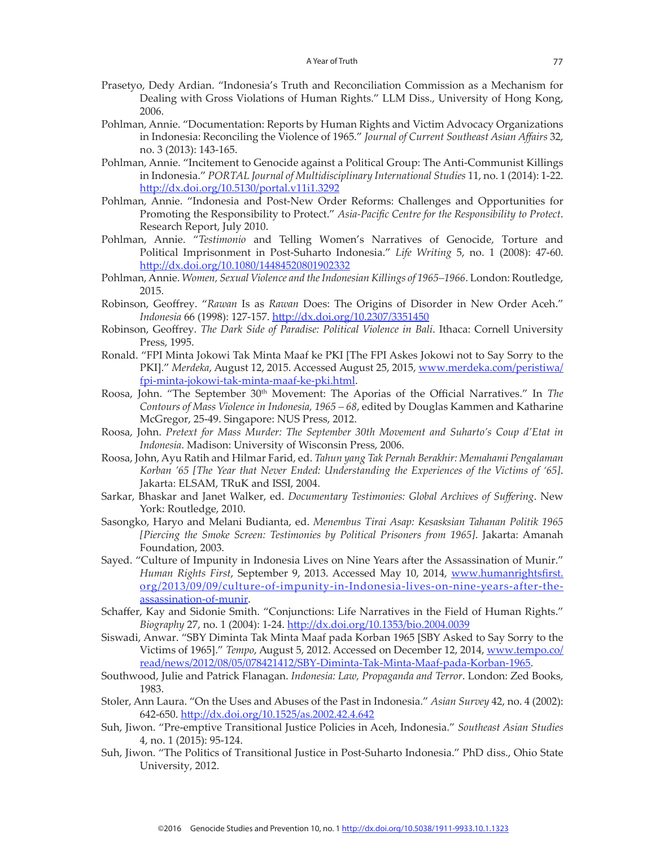- Prasetyo, Dedy Ardian. "Indonesia's Truth and Reconciliation Commission as a Mechanism for Dealing with Gross Violations of Human Rights." LLM Diss., University of Hong Kong, 2006.
- Pohlman, Annie. "Documentation: Reports by Human Rights and Victim Advocacy Organizations in Indonesia: Reconciling the Violence of 1965." *Journal of Current Southeast Asian Affairs* 32, no. 3 (2013): 143-165.
- Pohlman, Annie. "Incitement to Genocide against a Political Group: The Anti-Communist Killings in Indonesia." *PORTAL Journal of Multidisciplinary International Studies* 11, no. 1 (2014): 1-22. http://dx.doi.org/10.5130/portal.v11i1.3292
- Pohlman, Annie. "Indonesia and Post-New Order Reforms: Challenges and Opportunities for Promoting the Responsibility to Protect." *Asia-Pacific Centre for the Responsibility to Protect*. Research Report, July 2010.
- Pohlman, Annie. "*Testimonio* and Telling Women's Narratives of Genocide, Torture and Political Imprisonment in Post-Suharto Indonesia." *Life Writing* 5, no. 1 (2008): 47-60. http://dx.doi.org/10.1080/14484520801902332
- Pohlman, Annie. *Women, Sexual Violence and the Indonesian Killings of 1965–1966*. London: Routledge, 2015.
- Robinson, Geoffrey. "*Rawan* Is as *Rawan* Does: The Origins of Disorder in New Order Aceh." *Indonesia* 66 (1998): 127-157. http://dx.doi.org/10.2307/3351450
- Robinson, Geoffrey. *The Dark Side of Paradise: Political Violence in Bali*. Ithaca: Cornell University Press, 1995.
- Ronald. "FPI Minta Jokowi Tak Minta Maaf ke PKI [The FPI Askes Jokowi not to Say Sorry to the PKI]." *Merdeka*, August 12, 2015. Accessed August 25, 2015, www.merdeka.com/peristiwa/ fpi-minta-jokowi-tak-minta-maaf-ke-pki.html.
- Roosa, John. "The September 30th Movement: The Aporias of the Official Narratives." In *The Contours of Mass Violence in Indonesia, 1965 – 68*, edited by Douglas Kammen and Katharine McGregor, 25-49. Singapore: NUS Press, 2012.
- Roosa, John. *Pretext for Mass Murder: The September 30th Movement and Suharto's Coup d'Etat in Indonesia*. Madison: University of Wisconsin Press, 2006.
- Roosa, John, Ayu Ratih and Hilmar Farid, ed. *Tahun yang Tak Pernah Berakhir: Memahami Pengalaman Korban '65 [The Year that Never Ended: Understanding the Experiences of the Victims of '65]*. Jakarta: ELSAM, TRuK and ISSI, 2004.
- Sarkar, Bhaskar and Janet Walker, ed. *Documentary Testimonies: Global Archives of Suffering*. New York: Routledge, 2010.
- Sasongko, Haryo and Melani Budianta, ed. *Menembus Tirai Asap: Kesasksian Tahanan Politik 1965 [Piercing the Smoke Screen: Testimonies by Political Prisoners from 1965]*. Jakarta: Amanah Foundation, 2003.
- Sayed. "Culture of Impunity in Indonesia Lives on Nine Years after the Assassination of Munir." *Human Rights First*, September 9, 2013. Accessed May 10, 2014, www.humanrightsfirst. org/2013/09/09/culture-of-impunity-in-Indonesia-lives-on-nine-years-after-theassassination-of-munir.
- Schaffer, Kay and Sidonie Smith. "Conjunctions: Life Narratives in the Field of Human Rights." *Biography* 27, no. 1 (2004): 1-24. http://dx.doi.org/10.1353/bio.2004.0039
- Siswadi, Anwar. "SBY Diminta Tak Minta Maaf pada Korban 1965 [SBY Asked to Say Sorry to the Victims of 1965]." *Tempo*, August 5, 2012. Accessed on December 12, 2014, www.tempo.co/ read/news/2012/08/05/078421412/SBY-Diminta-Tak-Minta-Maaf-pada-Korban-1965.
- Southwood, Julie and Patrick Flanagan. *Indonesia: Law, Propaganda and Terror*. London: Zed Books, 1983.
- Stoler, Ann Laura. "On the Uses and Abuses of the Past in Indonesia." *Asian Survey* 42, no. 4 (2002): 642-650. http://dx.doi.org/10.1525/as.2002.42.4.642
- Suh, Jiwon. "Pre-emptive Transitional Justice Policies in Aceh, Indonesia." *Southeast Asian Studies* 4, no. 1 (2015): 95-124.
- Suh, Jiwon. "The Politics of Transitional Justice in Post-Suharto Indonesia." PhD diss., Ohio State University, 2012.